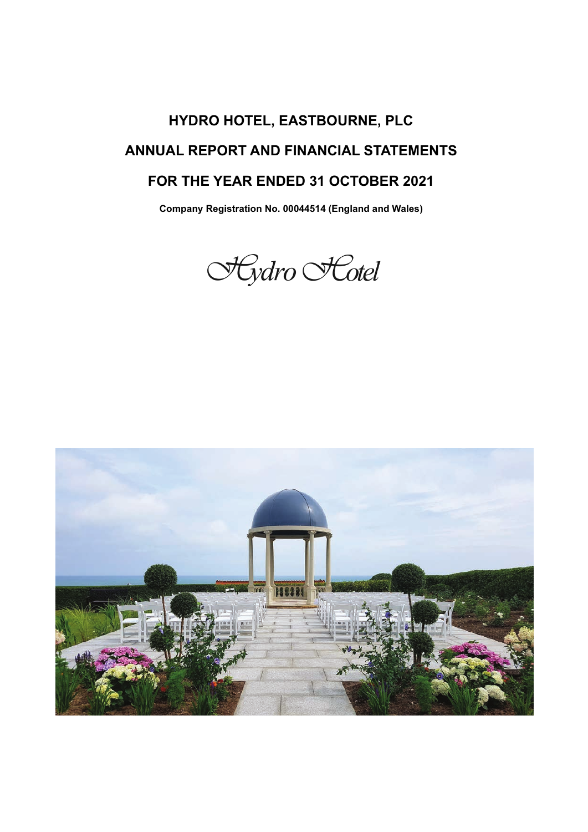# **HYDRO HOTEL, EASTBOURNE, PLC ANNUAL REPORT AND FINANCIAL STATEMENTS FOR THE YEAR ENDED 31 OCTOBER 2021**

**Company Registration No. 00044514 (England and Wales)**



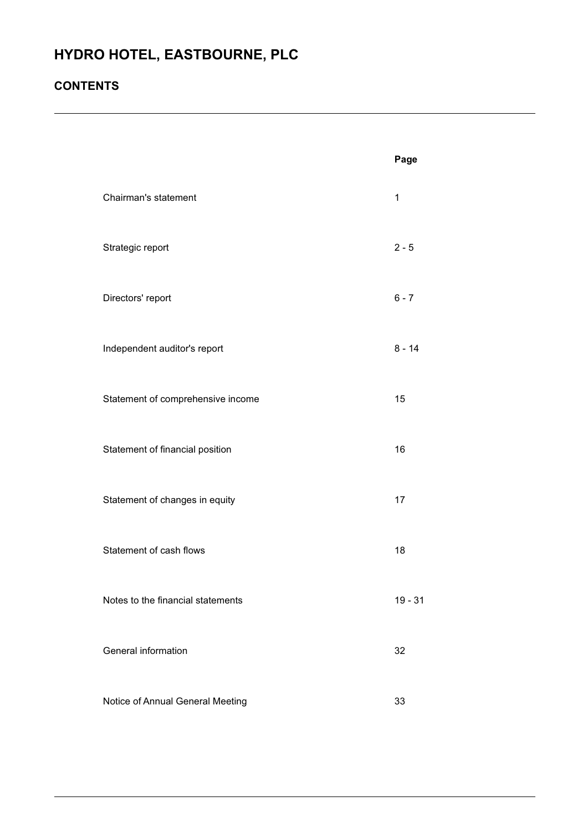## **CONTENTS**

|                                   | Page        |
|-----------------------------------|-------------|
| Chairman's statement              | $\mathbf 1$ |
| Strategic report                  | $2 - 5$     |
| Directors' report                 | $6 - 7$     |
| Independent auditor's report      | $8 - 14$    |
| Statement of comprehensive income | 15          |
| Statement of financial position   | 16          |
| Statement of changes in equity    | 17          |
| Statement of cash flows           | 18          |
| Notes to the financial statements | $19 - 31$   |
| General information               | 32          |
| Notice of Annual General Meeting  | 33          |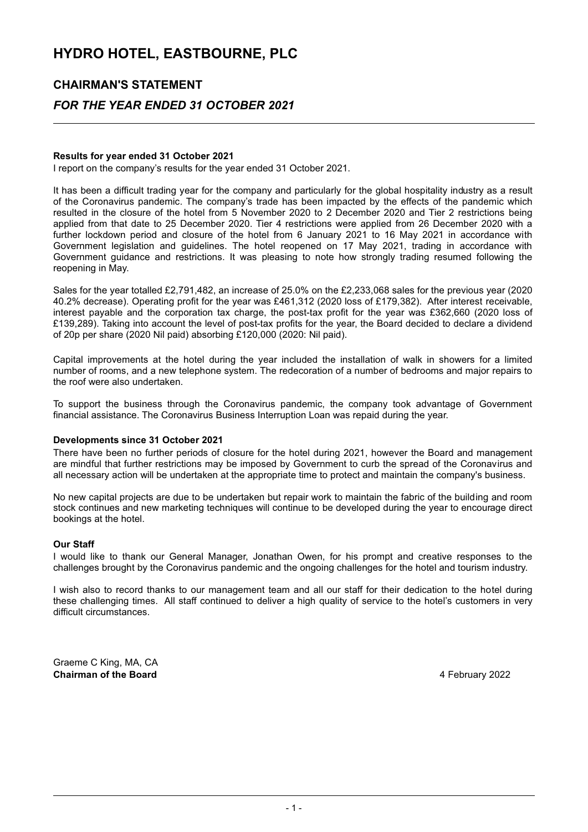### **CHAIRMAN'S STATEMENT**

### *FOR THE YEAR ENDED 31 OCTOBER 2021*

#### **Results for year ended 31 October 2021**

I report on the company's results for the year ended 31 October 2021.

It has been a difficult trading year for the company and particularly for the global hospitality industry as a result of the Coronavirus pandemic. The company's trade has been impacted by the effects of the pandemic which resulted in the closure of the hotel from 5 November 2020 to 2 December 2020 and Tier 2 restrictions being applied from that date to 25 December 2020. Tier 4 restrictions were applied from 26 December 2020 with a further lockdown period and closure of the hotel from 6 January 2021 to 16 May 2021 in accordance with Government legislation and guidelines. The hotel reopened on 17 May 2021, trading in accordance with Government guidance and restrictions. It was pleasing to note how strongly trading resumed following the reopening in May.

Sales for the year totalled £2,791,482, an increase of 25.0% on the £2,233,068 sales for the previous year (2020 40.2% decrease). Operating profit for the year was £461,312 (2020 loss of £179,382). After interest receivable, interest payable and the corporation tax charge, the post-tax profit for the year was £362,660 (2020 loss of £139,289). Taking into account the level of post-tax profits for the year, the Board decided to declare a dividend of 20p per share (2020 Nil paid) absorbing £120,000 (2020: Nil paid).

Capital improvements at the hotel during the year included the installation of walk in showers for a limited number of rooms, and a new telephone system. The redecoration of a number of bedrooms and major repairs to the roof were also undertaken.

To support the business through the Coronavirus pandemic, the company took advantage of Government financial assistance. The Coronavirus Business Interruption Loan was repaid during the year.

#### **Developments since 31 October 2021**

There have been no further periods of closure for the hotel during 2021, however the Board and management are mindful that further restrictions may be imposed by Government to curb the spread of the Coronavirus and all necessary action will be undertaken at the appropriate time to protect and maintain the company's business.

No new capital projects are due to be undertaken but repair work to maintain the fabric of the building and room stock continues and new marketing techniques will continue to be developed during the year to encourage direct bookings at the hotel.

#### **Our Staff**

I would like to thank our General Manager, Jonathan Owen, for his prompt and creative responses to the challenges brought by the Coronavirus pandemic and the ongoing challenges for the hotel and tourism industry.

I wish also to record thanks to our management team and all our staff for their dedication to the hotel during these challenging times. All staff continued to deliver a high quality of service to the hotel's customers in very difficult circumstances.

Graeme C King, MA, CA **Chairman of the Board All and Science 2022 4 February 2022**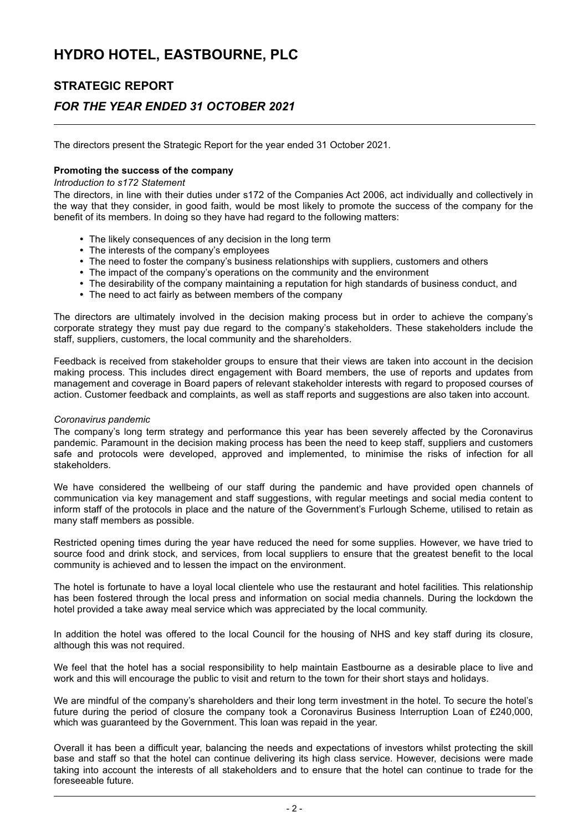### **STRATEGIC REPORT**

### *FOR THE YEAR ENDED 31 OCTOBER 2021*

The directors present the Strategic Report for the year ended 31 October 2021.

#### **Promoting the success of the company**

#### *Introduction to s172 Statement*

The directors, in line with their duties under s172 of the Companies Act 2006, act individually and collectively in the way that they consider, in good faith, would be most likely to promote the success of the company for the benefit of its members. In doing so they have had regard to the following matters:

- The likely consequences of any decision in the long term
- The interests of the company's employees
- The need to foster the company's business relationships with suppliers, customers and others
- The impact of the company's operations on the community and the environment
- The desirability of the company maintaining a reputation for high standards of business conduct, and
- The need to act fairly as between members of the company

The directors are ultimately involved in the decision making process but in order to achieve the company's corporate strategy they must pay due regard to the company's stakeholders. These stakeholders include the staff, suppliers, customers, the local community and the shareholders.

Feedback is received from stakeholder groups to ensure that their views are taken into account in the decision making process. This includes direct engagement with Board members, the use of reports and updates from management and coverage in Board papers of relevant stakeholder interests with regard to proposed courses of action. Customer feedback and complaints, as well as staff reports and suggestions are also taken into account.

#### *Coronavirus pandemic*

The company's long term strategy and performance this year has been severely affected by the Coronavirus pandemic. Paramount in the decision making process has been the need to keep staff, suppliers and customers safe and protocols were developed, approved and implemented, to minimise the risks of infection for all stakeholders.

We have considered the wellbeing of our staff during the pandemic and have provided open channels of communication via key management and staff suggestions, with regular meetings and social media content to inform staff of the protocols in place and the nature of the Government's Furlough Scheme, utilised to retain as many staff members as possible.

Restricted opening times during the year have reduced the need for some supplies. However, we have tried to source food and drink stock, and services, from local suppliers to ensure that the greatest benefit to the local community is achieved and to lessen the impact on the environment.

The hotel is fortunate to have a loyal local clientele who use the restaurant and hotel facilities. This relationship has been fostered through the local press and information on social media channels. During the lockdown the hotel provided a take away meal service which was appreciated by the local community.

In addition the hotel was offered to the local Council for the housing of NHS and key staff during its closure, although this was not required.

We feel that the hotel has a social responsibility to help maintain Eastbourne as a desirable place to live and work and this will encourage the public to visit and return to the town for their short stays and holidays.

We are mindful of the company's shareholders and their long term investment in the hotel. To secure the hotel's future during the period of closure the company took a Coronavirus Business Interruption Loan of £240,000, which was guaranteed by the Government. This loan was repaid in the year.

Overall it has been a difficult year, balancing the needs and expectations of investors whilst protecting the skill base and staff so that the hotel can continue delivering its high class service. However, decisions were made taking into account the interests of all stakeholders and to ensure that the hotel can continue to trade for the foreseeable future.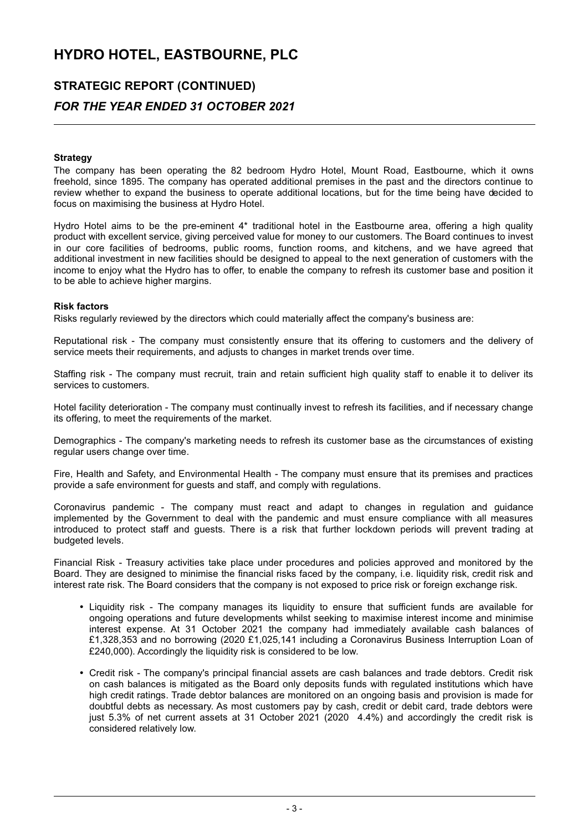### **STRATEGIC REPORT (CONTINUED)** *FOR THE YEAR ENDED 31 OCTOBER 2021*

## **Strategy**

The company has been operating the 82 bedroom Hydro Hotel, Mount Road, Eastbourne, which it owns freehold, since 1895. The company has operated additional premises in the past and the directors continue to review whether to expand the business to operate additional locations, but for the time being have decided to focus on maximising the business at Hydro Hotel.

Hydro Hotel aims to be the pre-eminent 4\* traditional hotel in the Eastbourne area, offering a high quality product with excellent service, giving perceived value for money to our customers. The Board continues to invest in our core facilities of bedrooms, public rooms, function rooms, and kitchens, and we have agreed that additional investment in new facilities should be designed to appeal to the next generation of customers with the income to enjoy what the Hydro has to offer, to enable the company to refresh its customer base and position it to be able to achieve higher margins.

#### **Risk factors**

Risks regularly reviewed by the directors which could materially affect the company's business are:

Reputational risk - The company must consistently ensure that its offering to customers and the delivery of service meets their requirements, and adjusts to changes in market trends over time.

Staffing risk - The company must recruit, train and retain sufficient high quality staff to enable it to deliver its services to customers.

Hotel facility deterioration - The company must continually invest to refresh its facilities, and if necessary change its offering, to meet the requirements of the market.

Demographics - The company's marketing needs to refresh its customer base as the circumstances of existing regular users change over time.

Fire, Health and Safety, and Environmental Health - The company must ensure that its premises and practices provide a safe environment for guests and staff, and comply with regulations.

Coronavirus pandemic - The company must react and adapt to changes in regulation and guidance implemented by the Government to deal with the pandemic and must ensure compliance with all measures introduced to protect staff and guests. There is a risk that further lockdown periods will prevent trading at budgeted levels.

Financial Risk - Treasury activities take place under procedures and policies approved and monitored by the Board. They are designed to minimise the financial risks faced by the company, i.e. liquidity risk, credit risk and interest rate risk. The Board considers that the company is not exposed to price risk or foreign exchange risk.

- Liquidity risk The company manages its liquidity to ensure that sufficient funds are available for ongoing operations and future developments whilst seeking to maximise interest income and minimise interest expense. At 31 October 2021 the company had immediately available cash balances of £1,328,353 and no borrowing (2020 £1,025,141 including a Coronavirus Business Interruption Loan of £240,000). Accordingly the liquidity risk is considered to be low.
- Credit risk The company's principal financial assets are cash balances and trade debtors. Credit risk on cash balances is mitigated as the Board only deposits funds with regulated institutions which have high credit ratings. Trade debtor balances are monitored on an ongoing basis and provision is made for doubtful debts as necessary. As most customers pay by cash, credit or debit card, trade debtors were just 5.3% of net current assets at 31 October 2021 (2020 4.4%) and accordingly the credit risk is considered relatively low.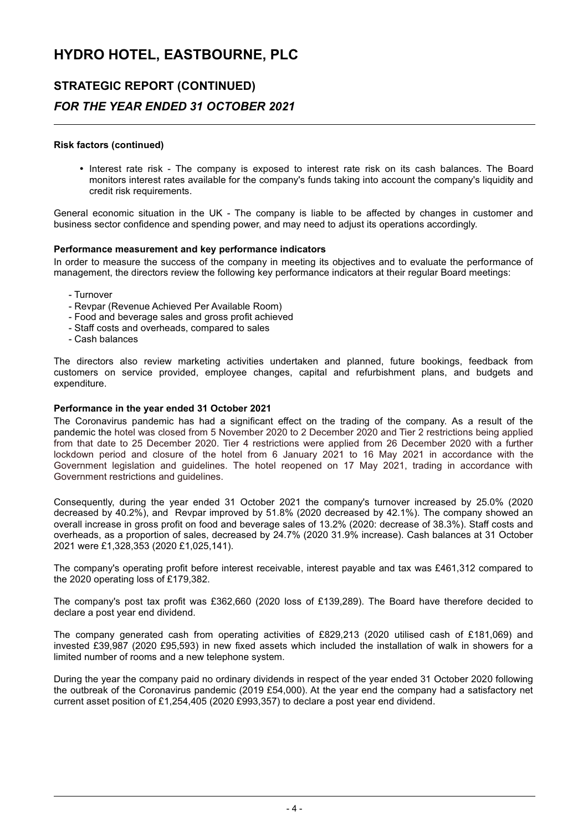### **STRATEGIC REPORT (CONTINUED)**

### *FOR THE YEAR ENDED 31 OCTOBER 2021*

#### **Risk factors (continued)**

• Interest rate risk - The company is exposed to interest rate risk on its cash balances. The Board monitors interest rates available for the company's funds taking into account the company's liquidity and credit risk requirements.

General economic situation in the UK - The company is liable to be affected by changes in customer and business sector confidence and spending power, and may need to adjust its operations accordingly.

#### **Performance measurement and key performance indicators**

In order to measure the success of the company in meeting its objectives and to evaluate the performance of management, the directors review the following key performance indicators at their regular Board meetings:

- Turnover
- Revpar (Revenue Achieved Per Available Room)
- Food and beverage sales and gross profit achieved
- Staff costs and overheads, compared to sales
- Cash balances

The directors also review marketing activities undertaken and planned, future bookings, feedback from customers on service provided, employee changes, capital and refurbishment plans, and budgets and expenditure.

#### **Performance in the year ended 31 October 2021**

The Coronavirus pandemic has had a significant effect on the trading of the company. As a result of the pandemic the hotel was closed from 5 November 2020 to 2 December 2020 and Tier 2 restrictions being applied from that date to 25 December 2020. Tier 4 restrictions were applied from 26 December 2020 with a further lockdown period and closure of the hotel from 6 January 2021 to 16 May 2021 in accordance with the Government legislation and guidelines. The hotel reopened on 17 May 2021, trading in accordance with Government restrictions and guidelines.

Consequently, during the year ended 31 October 2021 the company's turnover increased by 25.0% (2020 decreased by 40.2%), and Revpar improved by 51.8% (2020 decreased by 42.1%). The company showed an overall increase in gross profit on food and beverage sales of 13.2% (2020: decrease of 38.3%). Staff costs and overheads, as a proportion of sales, decreased by 24.7% (2020 31.9% increase). Cash balances at 31 October 2021 were £1,328,353 (2020 £1,025,141).

The company's operating profit before interest receivable, interest payable and tax was £461,312 compared to the 2020 operating loss of £179,382.

The company's post tax profit was £362,660 (2020 loss of £139,289). The Board have therefore decided to declare a post year end dividend.

The company generated cash from operating activities of £829,213 (2020 utilised cash of £181,069) and invested £39,987 (2020 £95,593) in new fixed assets which included the installation of walk in showers for a limited number of rooms and a new telephone system.

During the year the company paid no ordinary dividends in respect of the year ended 31 October 2020 following the outbreak of the Coronavirus pandemic (2019 £54,000). At the year end the company had a satisfactory net current asset position of £1,254,405 (2020 £993,357) to declare a post year end dividend.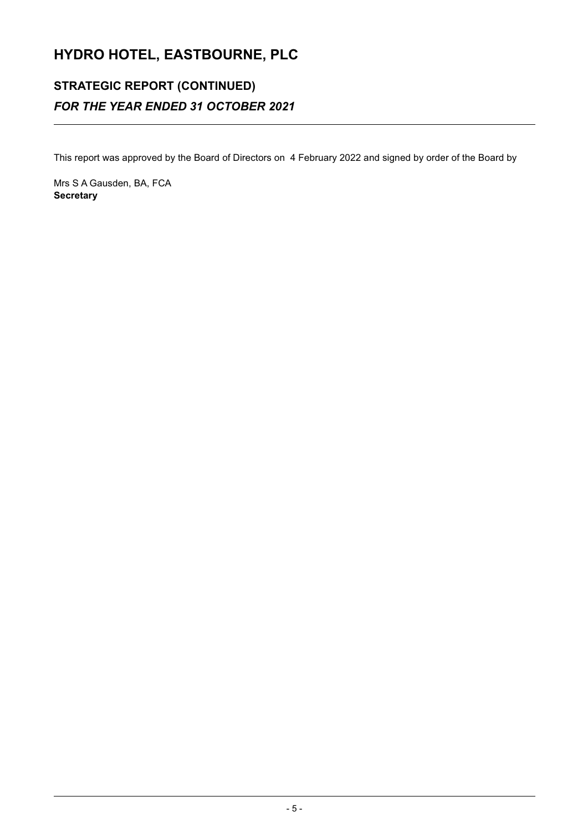## **STRATEGIC REPORT (CONTINUED)** *FOR THE YEAR ENDED 31 OCTOBER 2021*

This report was approved by the Board of Directors on 4 February 2022 and signed by order of the Board by

Mrs S A Gausden, BA, FCA **Secretary**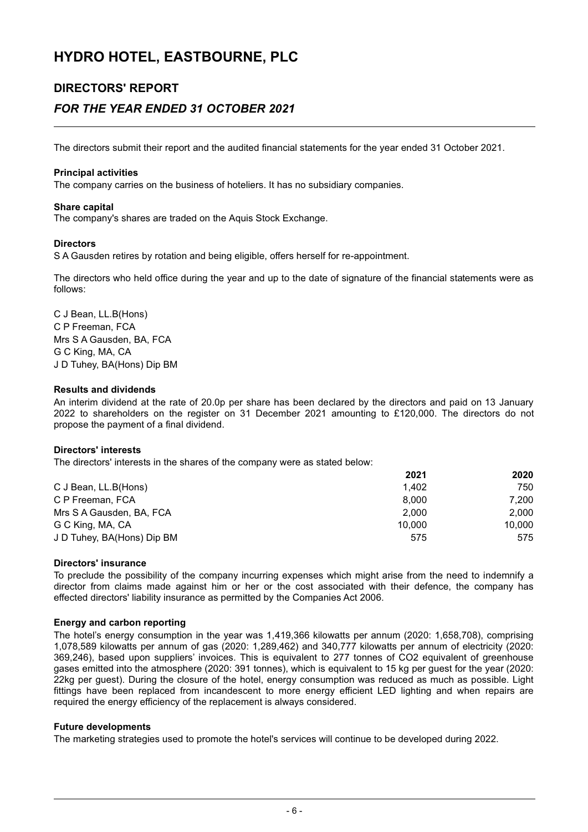### **DIRECTORS' REPORT**

### *FOR THE YEAR ENDED 31 OCTOBER 2021*

The directors submit their report and the audited financial statements for the year ended 31 October 2021.

#### **Principal activities**

The company carries on the business of hoteliers. It has no subsidiary companies.

#### **Share capital**

The company's shares are traded on the Aquis Stock Exchange.

#### **Directors**

S A Gausden retires by rotation and being eligible, offers herself for re-appointment.

The directors who held office during the year and up to the date of signature of the financial statements were as follows:

C J Bean, LL.B(Hons) C P Freeman, FCA Mrs S A Gausden, BA, FCA G C King, MA, CA J D Tuhey, BA(Hons) Dip BM

#### **Results and dividends**

An interim dividend at the rate of 20.0p per share has been declared by the directors and paid on 13 January 2022 to shareholders on the register on 31 December 2021 amounting to £120,000. The directors do not propose the payment of a final dividend.

#### **Directors' interests**

The directors' interests in the shares of the company were as stated below:

|                            | 2021   | 2020   |
|----------------------------|--------|--------|
| C J Bean, LL.B(Hons)       | 1.402  | 750    |
| C P Freeman, FCA           | 8.000  | 7.200  |
| Mrs S A Gausden, BA, FCA   | 2.000  | 2.000  |
| G C King, MA, CA           | 10.000 | 10.000 |
| J D Tuhey, BA(Hons) Dip BM | 575    | 575    |

#### **Directors' insurance**

To preclude the possibility of the company incurring expenses which might arise from the need to indemnify a director from claims made against him or her or the cost associated with their defence, the company has effected directors' liability insurance as permitted by the Companies Act 2006.

#### **Energy and carbon reporting**

The hotel's energy consumption in the year was 1,419,366 kilowatts per annum (2020: 1,658,708), comprising 1,078,589 kilowatts per annum of gas (2020: 1,289,462) and 340,777 kilowatts per annum of electricity (2020: 369,246), based upon suppliers' invoices. This is equivalent to 277 tonnes of CO2 equivalent of greenhouse gases emitted into the atmosphere (2020: 391 tonnes), which is equivalent to 15 kg per guest for the year (2020: 22kg per guest). During the closure of the hotel, energy consumption was reduced as much as possible. Light fittings have been replaced from incandescent to more energy efficient LED lighting and when repairs are required the energy efficiency of the replacement is always considered.

#### **Future developments**

The marketing strategies used to promote the hotel's services will continue to be developed during 2022.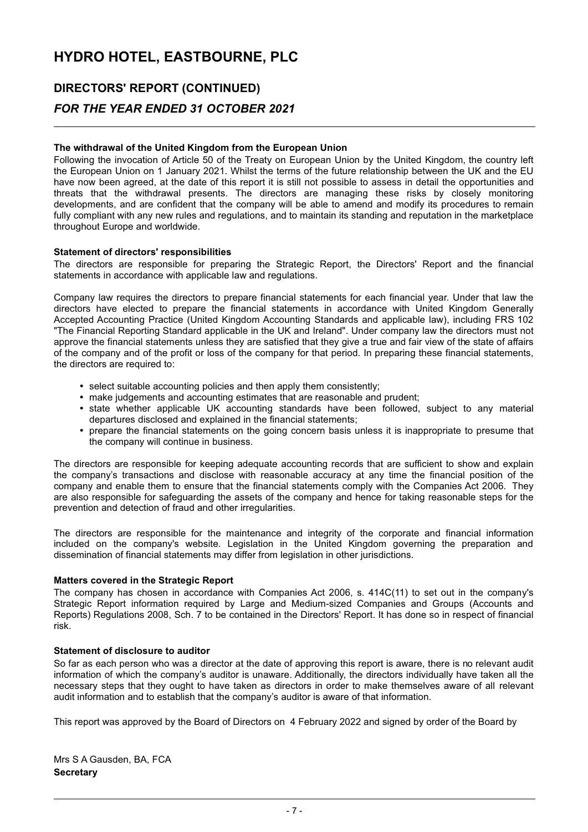### **DIRECTORS' REPORT (CONTINUED)**

### *FOR THE YEAR ENDED 31 OCTOBER 2021*

#### **The withdrawal of the United Kingdom from the European Union**

Following the invocation of Article 50 of the Treaty on European Union by the United Kingdom, the country left the European Union on 1 January 2021. Whilst the terms of the future relationship between the UK and the EU have now been agreed, at the date of this report it is still not possible to assess in detail the opportunities and threats that the withdrawal presents. The directors are managing these risks by closely monitoring developments, and are confident that the company will be able to amend and modify its procedures to remain fully compliant with any new rules and regulations, and to maintain its standing and reputation in the marketplace throughout Europe and worldwide.

#### **Statement of directors' responsibilities**

The directors are responsible for preparing the Strategic Report, the Directors' Report and the financial statements in accordance with applicable law and regulations.

Company law requires the directors to prepare financial statements for each financial year. Under that law the directors have elected to prepare the financial statements in accordance with United Kingdom Generally Accepted Accounting Practice (United Kingdom Accounting Standards and applicable law), including FRS 102 "The Financial Reporting Standard applicable in the UK and Ireland". Under company law the directors must not approve the financial statements unless they are satisfied that they give a true and fair view of the state of affairs of the company and of the profit or loss of the company for that period. In preparing these financial statements, the directors are required to:

- select suitable accounting policies and then apply them consistently;
- make judgements and accounting estimates that are reasonable and prudent;
- state whether applicable UK accounting standards have been followed, subject to any material departures disclosed and explained in the financial statements;
- prepare the financial statements on the going concern basis unless it is inappropriate to presume that the company will continue in business.

The directors are responsible for keeping adequate accounting records that are sufficient to show and explain the company's transactions and disclose with reasonable accuracy at any time the financial position of the company and enable them to ensure that the financial statements comply with the Companies Act 2006. They are also responsible for safeguarding the assets of the company and hence for taking reasonable steps for the prevention and detection of fraud and other irregularities.

The directors are responsible for the maintenance and integrity of the corporate and financial information included on the company's website. Legislation in the United Kingdom governing the preparation and dissemination of financial statements may differ from legislation in other jurisdictions.

#### **Matters covered in the Strategic Report**

The company has chosen in accordance with Companies Act 2006, s. 414C(11) to set out in the company's Strategic Report information required by Large and Medium-sized Companies and Groups (Accounts and Reports) Regulations 2008, Sch. 7 to be contained in the Directors' Report. It has done so in respect of financial risk.

#### **Statement of disclosure to auditor**

So far as each person who was a director at the date of approving this report is aware, there is no relevant audit information of which the company's auditor is unaware. Additionally, the directors individually have taken all the necessary steps that they ought to have taken as directors in order to make themselves aware of all relevant audit information and to establish that the company's auditor is aware of that information.

This report was approved by the Board of Directors on 4 February 2022 and signed by order of the Board by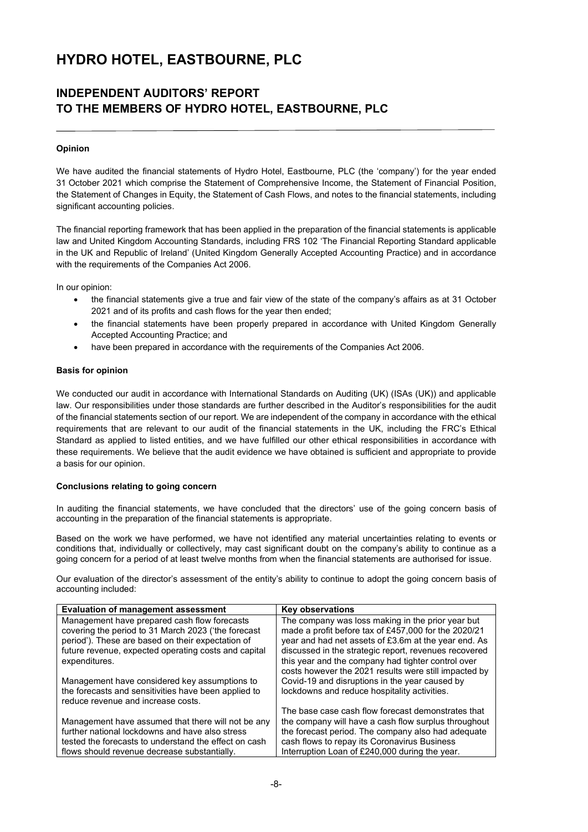### **INDEPENDENT AUDITORS' REPORT TO THE MEMBERS OF HYDRO HOTEL, EASTBOURNE, PLC**

#### **Opinion**

We have audited the financial statements of Hydro Hotel, Eastbourne, PLC (the 'company') for the year ended 31 October 2021 which comprise the Statement of Comprehensive Income, the Statement of Financial Position, the Statement of Changes in Equity, the Statement of Cash Flows, and notes to the financial statements, including significant accounting policies.

The financial reporting framework that has been applied in the preparation of the financial statements is applicable law and United Kingdom Accounting Standards, including FRS 102 'The Financial Reporting Standard applicable in the UK and Republic of Ireland' (United Kingdom Generally Accepted Accounting Practice) and in accordance with the requirements of the Companies Act 2006.

In our opinion:

- the financial statements give a true and fair view of the state of the company's affairs as at 31 October 2021 and of its profits and cash flows for the year then ended;
- the financial statements have been properly prepared in accordance with United Kingdom Generally Accepted Accounting Practice; and
- have been prepared in accordance with the requirements of the Companies Act 2006.

#### **Basis for opinion**

We conducted our audit in accordance with International Standards on Auditing (UK) (ISAs (UK)) and applicable law. Our responsibilities under those standards are further described in the Auditor's responsibilities for the audit of the financial statements section of our report. We are independent of the company in accordance with the ethical requirements that are relevant to our audit of the financial statements in the UK, including the FRC's Ethical Standard as applied to listed entities, and we have fulfilled our other ethical responsibilities in accordance with these requirements. We believe that the audit evidence we have obtained is sufficient and appropriate to provide a basis for our opinion.

#### **Conclusions relating to going concern**

In auditing the financial statements, we have concluded that the directors' use of the going concern basis of accounting in the preparation of the financial statements is appropriate.

Based on the work we have performed, we have not identified any material uncertainties relating to events or conditions that, individually or collectively, may cast significant doubt on the company's ability to continue as a going concern for a period of at least twelve months from when the financial statements are authorised for issue.

Our evaluation of the director's assessment of the entity's ability to continue to adopt the going concern basis of accounting included:

| <b>Evaluation of management assessment</b>            | <b>Key observations</b>                               |
|-------------------------------------------------------|-------------------------------------------------------|
| Management have prepared cash flow forecasts          | The company was loss making in the prior year but     |
| covering the period to 31 March 2023 ('the forecast   | made a profit before tax of £457,000 for the 2020/21  |
| period'). These are based on their expectation of     | year and had net assets of £3.6m at the year end. As  |
| future revenue, expected operating costs and capital  | discussed in the strategic report, revenues recovered |
| expenditures.                                         | this year and the company had tighter control over    |
|                                                       | costs however the 2021 results were still impacted by |
| Management have considered key assumptions to         | Covid-19 and disruptions in the year caused by        |
| the forecasts and sensitivities have been applied to  | lockdowns and reduce hospitality activities.          |
| reduce revenue and increase costs.                    |                                                       |
|                                                       | The base case cash flow forecast demonstrates that    |
| Management have assumed that there will not be any    | the company will have a cash flow surplus throughout  |
| further national lockdowns and have also stress       | the forecast period. The company also had adequate    |
| tested the forecasts to understand the effect on cash | cash flows to repay its Coronavirus Business          |
| flows should revenue decrease substantially.          | Interruption Loan of £240,000 during the year.        |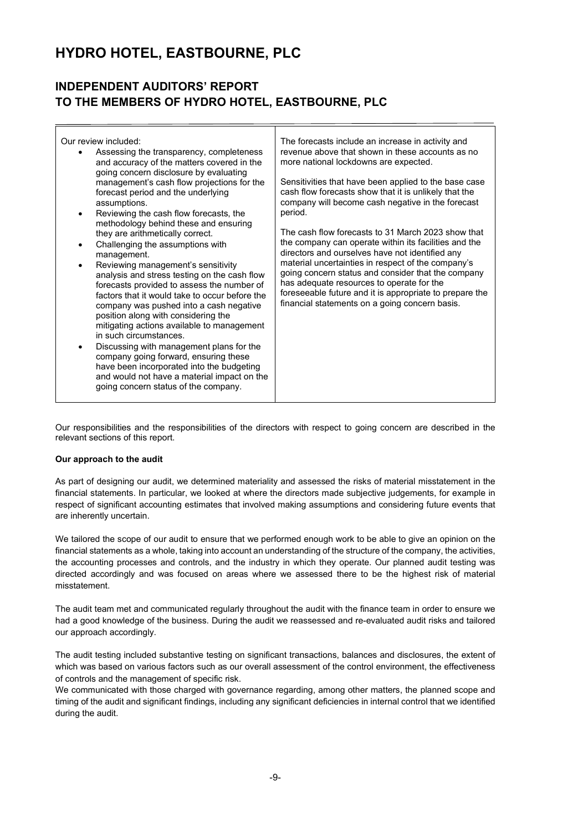### **INDEPENDENT AUDITORS' REPORT TO THE MEMBERS OF HYDRO HOTEL, EASTBOURNE, PLC**

| Our review included:<br>Assessing the transparency, completeness<br>and accuracy of the matters covered in the<br>going concern disclosure by evaluating<br>management's cash flow projections for the<br>forecast period and the underlying<br>assumptions.<br>period.<br>Reviewing the cash flow forecasts, the<br>$\bullet$<br>methodology behind these and ensuring<br>they are arithmetically correct.<br>Challenging the assumptions with<br>$\bullet$<br>management.<br>Reviewing management's sensitivity<br>٠<br>analysis and stress testing on the cash flow<br>forecasts provided to assess the number of<br>factors that it would take to occur before the<br>company was pushed into a cash negative<br>position along with considering the<br>mitigating actions available to management<br>in such circumstances.<br>Discussing with management plans for the<br>٠<br>company going forward, ensuring these<br>have been incorporated into the budgeting<br>and would not have a material impact on the<br>going concern status of the company. | The forecasts include an increase in activity and<br>revenue above that shown in these accounts as no<br>more national lockdowns are expected.<br>Sensitivities that have been applied to the base case<br>cash flow forecasts show that it is unlikely that the<br>company will become cash negative in the forecast<br>The cash flow forecasts to 31 March 2023 show that<br>the company can operate within its facilities and the<br>directors and ourselves have not identified any<br>material uncertainties in respect of the company's<br>going concern status and consider that the company<br>has adequate resources to operate for the<br>foreseeable future and it is appropriate to prepare the<br>financial statements on a going concern basis. |
|----------------------------------------------------------------------------------------------------------------------------------------------------------------------------------------------------------------------------------------------------------------------------------------------------------------------------------------------------------------------------------------------------------------------------------------------------------------------------------------------------------------------------------------------------------------------------------------------------------------------------------------------------------------------------------------------------------------------------------------------------------------------------------------------------------------------------------------------------------------------------------------------------------------------------------------------------------------------------------------------------------------------------------------------------------------|---------------------------------------------------------------------------------------------------------------------------------------------------------------------------------------------------------------------------------------------------------------------------------------------------------------------------------------------------------------------------------------------------------------------------------------------------------------------------------------------------------------------------------------------------------------------------------------------------------------------------------------------------------------------------------------------------------------------------------------------------------------|
|----------------------------------------------------------------------------------------------------------------------------------------------------------------------------------------------------------------------------------------------------------------------------------------------------------------------------------------------------------------------------------------------------------------------------------------------------------------------------------------------------------------------------------------------------------------------------------------------------------------------------------------------------------------------------------------------------------------------------------------------------------------------------------------------------------------------------------------------------------------------------------------------------------------------------------------------------------------------------------------------------------------------------------------------------------------|---------------------------------------------------------------------------------------------------------------------------------------------------------------------------------------------------------------------------------------------------------------------------------------------------------------------------------------------------------------------------------------------------------------------------------------------------------------------------------------------------------------------------------------------------------------------------------------------------------------------------------------------------------------------------------------------------------------------------------------------------------------|

Our responsibilities and the responsibilities of the directors with respect to going concern are described in the relevant sections of this report.

#### **Our approach to the audit**

As part of designing our audit, we determined materiality and assessed the risks of material misstatement in the financial statements. In particular, we looked at where the directors made subjective judgements, for example in respect of significant accounting estimates that involved making assumptions and considering future events that are inherently uncertain.

We tailored the scope of our audit to ensure that we performed enough work to be able to give an opinion on the financial statements as a whole, taking into account an understanding of the structure of the company, the activities, the accounting processes and controls, and the industry in which they operate. Our planned audit testing was directed accordingly and was focused on areas where we assessed there to be the highest risk of material misstatement.

The audit team met and communicated regularly throughout the audit with the finance team in order to ensure we had a good knowledge of the business. During the audit we reassessed and re-evaluated audit risks and tailored our approach accordingly.

The audit testing included substantive testing on significant transactions, balances and disclosures, the extent of which was based on various factors such as our overall assessment of the control environment, the effectiveness of controls and the management of specific risk.

We communicated with those charged with governance regarding, among other matters, the planned scope and timing of the audit and significant findings, including any significant deficiencies in internal control that we identified during the audit.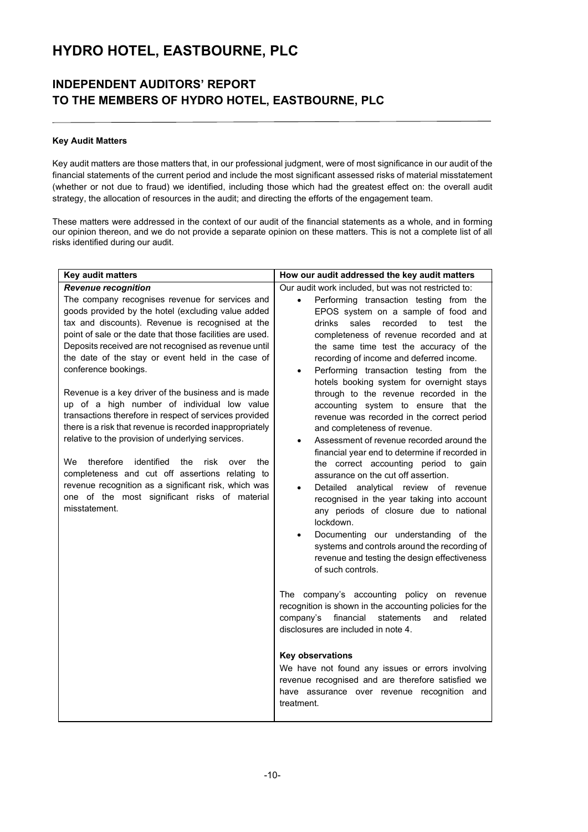### **INDEPENDENT AUDITORS' REPORT TO THE MEMBERS OF HYDRO HOTEL, EASTBOURNE, PLC**

#### **Key Audit Matters**

Key audit matters are those matters that, in our professional judgment, were of most significance in our audit of the financial statements of the current period and include the most significant assessed risks of material misstatement (whether or not due to fraud) we identified, including those which had the greatest effect on: the overall audit strategy, the allocation of resources in the audit; and directing the efforts of the engagement team.

These matters were addressed in the context of our audit of the financial statements as a whole, and in forming our opinion thereon, and we do not provide a separate opinion on these matters. This is not a complete list of all risks identified during our audit.

| <b>Key audit matters</b>                                                                                                                                                                                                                                                                                                                                                                                                                                                                                                                                                                                                                                                    | How our audit addressed the key audit matters                                                                                                                                                                                                                                                                                                                                                                                                                                                                                                                                                                                                                                                                                                      |  |  |
|-----------------------------------------------------------------------------------------------------------------------------------------------------------------------------------------------------------------------------------------------------------------------------------------------------------------------------------------------------------------------------------------------------------------------------------------------------------------------------------------------------------------------------------------------------------------------------------------------------------------------------------------------------------------------------|----------------------------------------------------------------------------------------------------------------------------------------------------------------------------------------------------------------------------------------------------------------------------------------------------------------------------------------------------------------------------------------------------------------------------------------------------------------------------------------------------------------------------------------------------------------------------------------------------------------------------------------------------------------------------------------------------------------------------------------------------|--|--|
| <b>Revenue recognition</b><br>The company recognises revenue for services and<br>goods provided by the hotel (excluding value added<br>tax and discounts). Revenue is recognised at the<br>point of sale or the date that those facilities are used.<br>Deposits received are not recognised as revenue until<br>the date of the stay or event held in the case of<br>conference bookings.<br>Revenue is a key driver of the business and is made<br>up of a high number of individual low value<br>transactions therefore in respect of services provided<br>there is a risk that revenue is recorded inappropriately<br>relative to the provision of underlying services. | Our audit work included, but was not restricted to:<br>Performing transaction testing from the<br>$\bullet$<br>EPOS system on a sample of food and<br>recorded<br>drinks<br>sales<br>to<br>test<br>the<br>completeness of revenue recorded and at<br>the same time test the accuracy of the<br>recording of income and deferred income.<br>Performing transaction testing from the<br>$\bullet$<br>hotels booking system for overnight stays<br>through to the revenue recorded in the<br>accounting system to ensure that the<br>revenue was recorded in the correct period<br>and completeness of revenue.<br>Assessment of revenue recorded around the<br>financial year end to determine if recorded in                                        |  |  |
| therefore<br>identified<br>We<br>the<br>risk<br>over<br>the<br>completeness and cut off assertions relating to<br>revenue recognition as a significant risk, which was<br>one of the most significant risks of material<br>misstatement.                                                                                                                                                                                                                                                                                                                                                                                                                                    | the correct accounting period to gain<br>assurance on the cut off assertion.<br>Detailed analytical review of revenue<br>recognised in the year taking into account<br>any periods of closure due to national<br>lockdown.<br>Documenting our understanding of the<br>$\bullet$<br>systems and controls around the recording of<br>revenue and testing the design effectiveness<br>of such controls.<br>The company's accounting policy on revenue<br>recognition is shown in the accounting policies for the<br>company's<br>financial<br>statements<br>and<br>related<br>disclosures are included in note 4.<br><b>Key observations</b><br>We have not found any issues or errors involving<br>revenue recognised and are therefore satisfied we |  |  |
|                                                                                                                                                                                                                                                                                                                                                                                                                                                                                                                                                                                                                                                                             | have assurance over revenue recognition and<br>treatment.                                                                                                                                                                                                                                                                                                                                                                                                                                                                                                                                                                                                                                                                                          |  |  |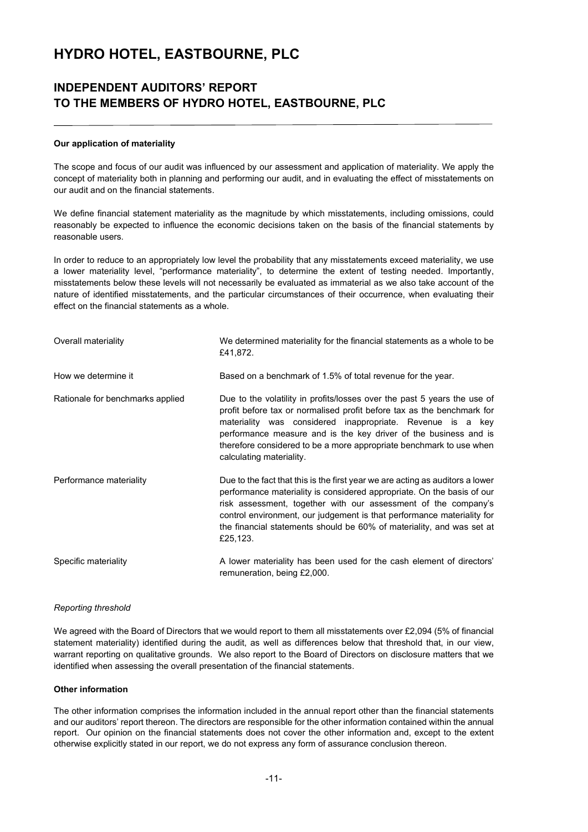### **INDEPENDENT AUDITORS' REPORT TO THE MEMBERS OF HYDRO HOTEL, EASTBOURNE, PLC**

#### **Our application of materiality**

The scope and focus of our audit was influenced by our assessment and application of materiality. We apply the concept of materiality both in planning and performing our audit, and in evaluating the effect of misstatements on our audit and on the financial statements.

We define financial statement materiality as the magnitude by which misstatements, including omissions, could reasonably be expected to influence the economic decisions taken on the basis of the financial statements by reasonable users.

In order to reduce to an appropriately low level the probability that any misstatements exceed materiality, we use a lower materiality level, "performance materiality", to determine the extent of testing needed. Importantly, misstatements below these levels will not necessarily be evaluated as immaterial as we also take account of the nature of identified misstatements, and the particular circumstances of their occurrence, when evaluating their effect on the financial statements as a whole.

| Overall materiality              | We determined materiality for the financial statements as a whole to be<br>£41,872.                                                                                                                                                                                                                                                                                                      |
|----------------------------------|------------------------------------------------------------------------------------------------------------------------------------------------------------------------------------------------------------------------------------------------------------------------------------------------------------------------------------------------------------------------------------------|
| How we determine it              | Based on a benchmark of 1.5% of total revenue for the year.                                                                                                                                                                                                                                                                                                                              |
| Rationale for benchmarks applied | Due to the volatility in profits/losses over the past 5 years the use of<br>profit before tax or normalised profit before tax as the benchmark for<br>materiality was considered inappropriate. Revenue is a key<br>performance measure and is the key driver of the business and is<br>therefore considered to be a more appropriate benchmark to use when<br>calculating materiality.  |
| Performance materiality          | Due to the fact that this is the first year we are acting as auditors a lower<br>performance materiality is considered appropriate. On the basis of our<br>risk assessment, together with our assessment of the company's<br>control environment, our judgement is that performance materiality for<br>the financial statements should be 60% of materiality, and was set at<br>£25,123. |
| Specific materiality             | A lower materiality has been used for the cash element of directors'<br>remuneration, being £2,000.                                                                                                                                                                                                                                                                                      |

#### *Reporting threshold*

We agreed with the Board of Directors that we would report to them all misstatements over £2,094 (5% of financial statement materiality) identified during the audit, as well as differences below that threshold that, in our view, warrant reporting on qualitative grounds. We also report to the Board of Directors on disclosure matters that we identified when assessing the overall presentation of the financial statements.

#### **Other information**

The other information comprises the information included in the annual report other than the financial statements and our auditors' report thereon. The directors are responsible for the other information contained within the annual report. Our opinion on the financial statements does not cover the other information and, except to the extent otherwise explicitly stated in our report, we do not express any form of assurance conclusion thereon.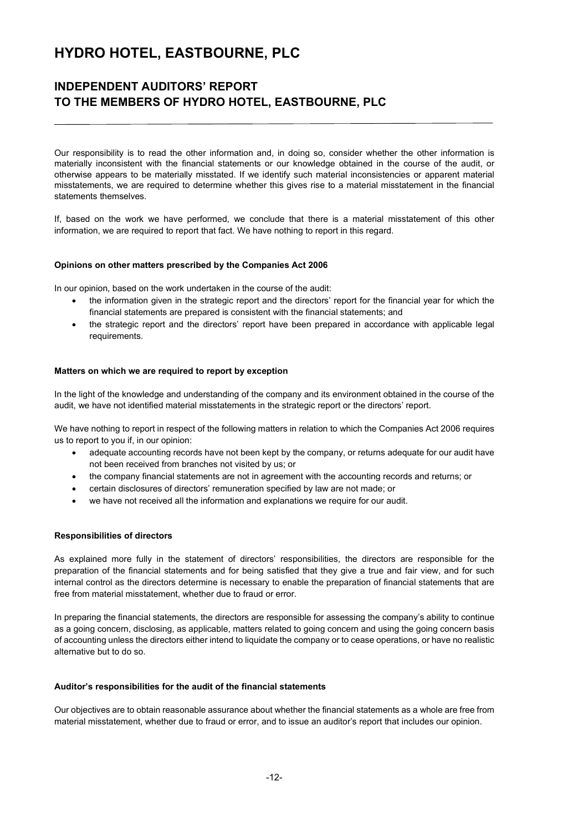### **INDEPENDENT AUDITORS' REPORT TO THE MEMBERS OF HYDRO HOTEL, EASTBOURNE, PLC**

Our responsibility is to read the other information and, in doing so, consider whether the other information is materially inconsistent with the financial statements or our knowledge obtained in the course of the audit, or otherwise appears to be materially misstated. If we identify such material inconsistencies or apparent material misstatements, we are required to determine whether this gives rise to a material misstatement in the financial statements themselves.

If, based on the work we have performed, we conclude that there is a material misstatement of this other information, we are required to report that fact. We have nothing to report in this regard.

#### **Opinions on other matters prescribed by the Companies Act 2006**

In our opinion, based on the work undertaken in the course of the audit:

- the information given in the strategic report and the directors' report for the financial year for which the financial statements are prepared is consistent with the financial statements; and
- the strategic report and the directors' report have been prepared in accordance with applicable legal requirements.

#### **Matters on which we are required to report by exception**

In the light of the knowledge and understanding of the company and its environment obtained in the course of the audit, we have not identified material misstatements in the strategic report or the directors' report.

We have nothing to report in respect of the following matters in relation to which the Companies Act 2006 requires us to report to you if, in our opinion:

- adequate accounting records have not been kept by the company, or returns adequate for our audit have not been received from branches not visited by us; or
- the company financial statements are not in agreement with the accounting records and returns; or
- certain disclosures of directors' remuneration specified by law are not made; or
- we have not received all the information and explanations we require for our audit.

#### **Responsibilities of directors**

As explained more fully in the statement of directors' responsibilities, the directors are responsible for the preparation of the financial statements and for being satisfied that they give a true and fair view, and for such internal control as the directors determine is necessary to enable the preparation of financial statements that are free from material misstatement, whether due to fraud or error.

In preparing the financial statements, the directors are responsible for assessing the company's ability to continue as a going concern, disclosing, as applicable, matters related to going concern and using the going concern basis of accounting unless the directors either intend to liquidate the company or to cease operations, or have no realistic alternative but to do so.

#### **Auditor's responsibilities for the audit of the financial statements**

Our objectives are to obtain reasonable assurance about whether the financial statements as a whole are free from material misstatement, whether due to fraud or error, and to issue an auditor's report that includes our opinion.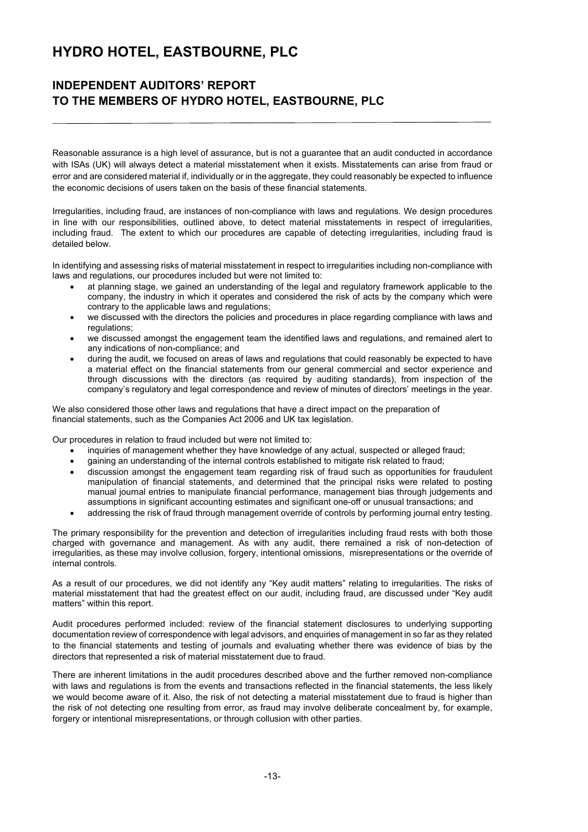### **INDEPENDENT AUDITORS' REPORT TO THE MEMBERS OF HYDRO HOTEL, EASTBOURNE, PLC**

Reasonable assurance is a high level of assurance, but is not a guarantee that an audit conducted in accordance with ISAs (UK) will always detect a material misstatement when it exists. Misstatements can arise from fraud or error and are considered material if, individually or in the aggregate, they could reasonably be expected to influence the economic decisions of users taken on the basis of these financial statements.

Irregularities, including fraud, are instances of non-compliance with laws and regulations. We design procedures in line with our responsibilities, outlined above, to detect material misstatements in respect of irregularities, including fraud. The extent to which our procedures are capable of detecting irregularities, including fraud is detailed below.

In identifying and assessing risks of material misstatement in respect to irregularities including non-compliance with laws and regulations, our procedures included but were not limited to:

- at planning stage, we gained an understanding of the legal and regulatory framework applicable to the company, the industry in which it operates and considered the risk of acts by the company which were contrary to the applicable laws and regulations;
- we discussed with the directors the policies and procedures in place regarding compliance with laws and regulations;
- we discussed amongst the engagement team the identified laws and regulations, and remained alert to any indications of non-compliance; and
- during the audit, we focused on areas of laws and regulations that could reasonably be expected to have a material effect on the financial statements from our general commercial and sector experience and through discussions with the directors (as required by auditing standards), from inspection of the company's regulatory and legal correspondence and review of minutes of directors' meetings in the year.

We also considered those other laws and regulations that have a direct impact on the preparation of financial statements, such as the Companies Act 2006 and UK tax legislation.

Our procedures in relation to fraud included but were not limited to:

- inquiries of management whether they have knowledge of any actual, suspected or alleged fraud;
- gaining an understanding of the internal controls established to mitigate risk related to fraud;
- discussion amongst the engagement team regarding risk of fraud such as opportunities for fraudulent manipulation of financial statements, and determined that the principal risks were related to posting manual journal entries to manipulate financial performance, management bias through judgements and assumptions in significant accounting estimates and significant one-off or unusual transactions; and
- addressing the risk of fraud through management override of controls by performing journal entry testing.

The primary responsibility for the prevention and detection of irregularities including fraud rests with both those charged with governance and management. As with any audit, there remained a risk of non-detection of irregularities, as these may involve collusion, forgery, intentional omissions, misrepresentations or the override of internal controls.

As a result of our procedures, we did not identify any "Key audit matters" relating to irregularities. The risks of material misstatement that had the greatest effect on our audit, including fraud, are discussed under "Key audit matters" within this report.

Audit procedures performed included: review of the financial statement disclosures to underlying supporting documentation review of correspondence with legal advisors, and enquiries of management in so far as they related to the financial statements and testing of journals and evaluating whether there was evidence of bias by the directors that represented a risk of material misstatement due to fraud.

There are inherent limitations in the audit procedures described above and the further removed non-compliance with laws and regulations is from the events and transactions reflected in the financial statements, the less likely we would become aware of it. Also, the risk of not detecting a material misstatement due to fraud is higher than the risk of not detecting one resulting from error, as fraud may involve deliberate concealment by, for example, forgery or intentional misrepresentations, or through collusion with other parties.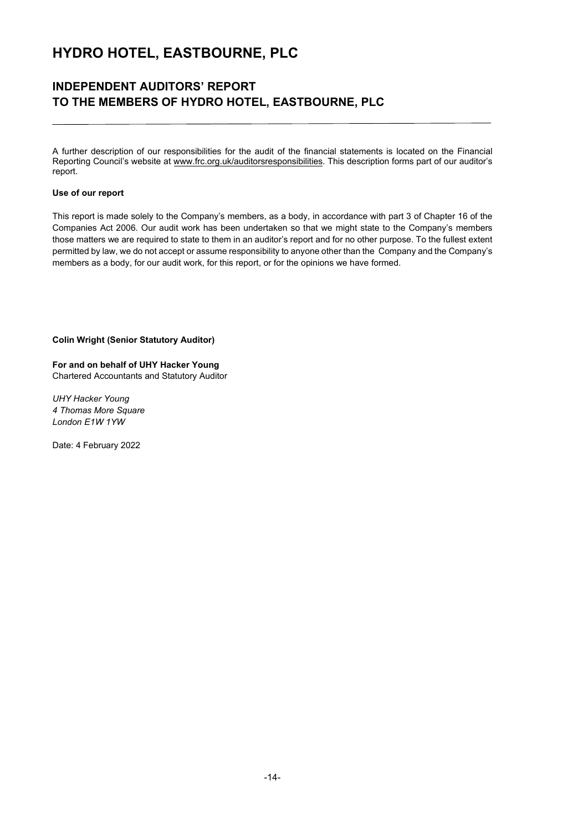### **INDEPENDENT AUDITORS' REPORT TO THE MEMBERS OF HYDRO HOTEL, EASTBOURNE, PLC**

A further description of our responsibilities for the audit of the financial statements is located on the Financial Reporting Council's website at www.frc.org.uk/auditorsresponsibilities. This description forms part of our auditor's report.

#### **Use of our report**

This report is made solely to the Company's members, as a body, in accordance with part 3 of Chapter 16 of the Companies Act 2006. Our audit work has been undertaken so that we might state to the Company's members those matters we are required to state to them in an auditor's report and for no other purpose. To the fullest extent permitted by law, we do not accept or assume responsibility to anyone other than the Company and the Company's members as a body, for our audit work, for this report, or for the opinions we have formed.

#### **Colin Wright (Senior Statutory Auditor)**

**For and on behalf of UHY Hacker Young** Chartered Accountants and Statutory Auditor

*UHY Hacker Young 4 Thomas More Square London E1W 1YW* 

Date: 4 February 2022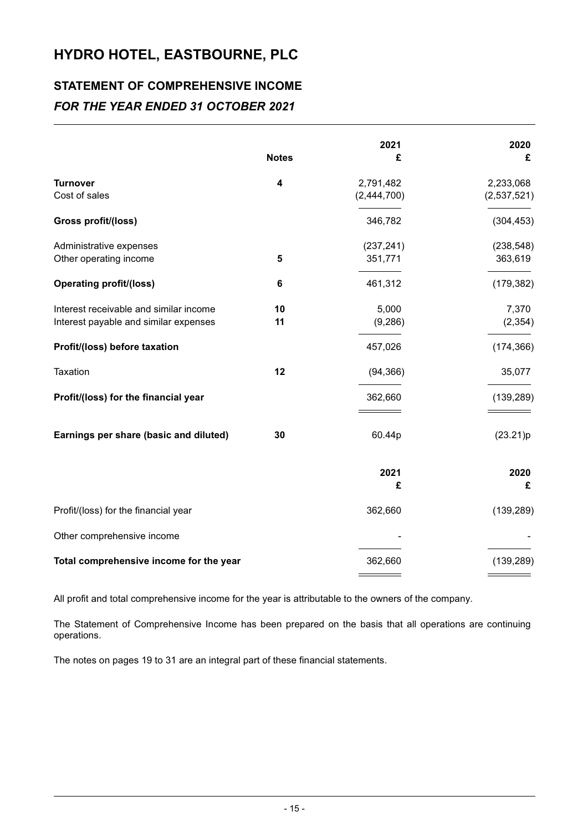## **STATEMENT OF COMPREHENSIVE INCOME** *FOR THE YEAR ENDED 31 OCTOBER 2021*

|                                                                                 | <b>Notes</b> | 2021<br>£                | 2020<br>£                |
|---------------------------------------------------------------------------------|--------------|--------------------------|--------------------------|
| <b>Turnover</b><br>Cost of sales                                                | 4            | 2,791,482<br>(2,444,700) | 2,233,068<br>(2,537,521) |
| Gross profit/(loss)                                                             |              | 346,782                  | (304, 453)               |
| Administrative expenses<br>Other operating income                               | 5            | (237, 241)<br>351,771    | (238, 548)<br>363,619    |
| <b>Operating profit/(loss)</b>                                                  | 6            | 461,312                  | (179, 382)               |
| Interest receivable and similar income<br>Interest payable and similar expenses | 10<br>11     | 5,000<br>(9, 286)        | 7,370<br>(2, 354)        |
| Profit/(loss) before taxation                                                   |              | 457,026                  | (174, 366)               |
| Taxation                                                                        | 12           | (94, 366)                | 35,077                   |
| Profit/(loss) for the financial year                                            |              | 362,660                  | (139, 289)               |
| Earnings per share (basic and diluted)                                          | 30           | 60.44p                   | (23.21)p                 |
|                                                                                 |              | 2021<br>£                | 2020<br>£                |
| Profit/(loss) for the financial year                                            |              | 362,660                  | (139, 289)               |
| Other comprehensive income                                                      |              |                          |                          |
| Total comprehensive income for the year                                         |              | 362,660                  | (139, 289)               |

All profit and total comprehensive income for the year is attributable to the owners of the company.

The Statement of Comprehensive Income has been prepared on the basis that all operations are continuing operations.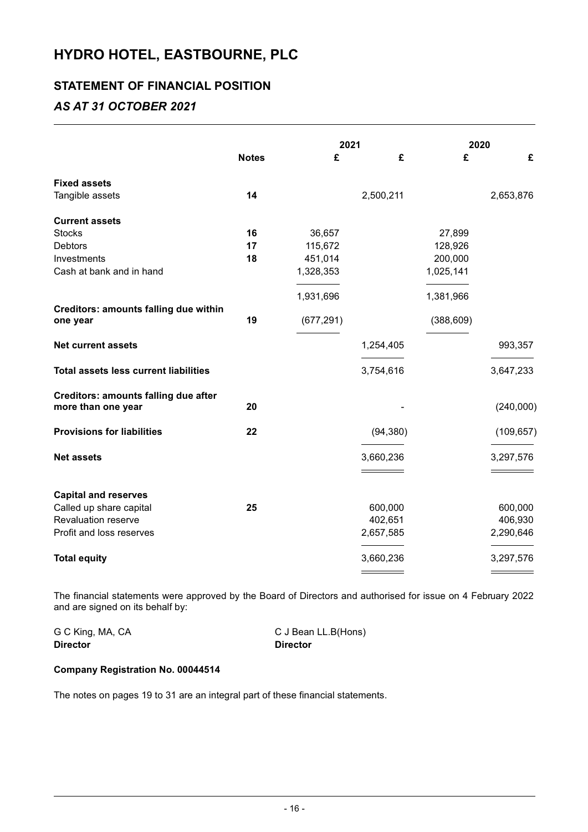### **STATEMENT OF FINANCIAL POSITION**

### *AS AT 31 OCTOBER 2021*

|                                                                   |              |            | 2021      |            | 2020       |  |
|-------------------------------------------------------------------|--------------|------------|-----------|------------|------------|--|
|                                                                   | <b>Notes</b> | £          | £         | £          | £          |  |
| <b>Fixed assets</b>                                               |              |            |           |            |            |  |
| Tangible assets                                                   | 14           |            | 2,500,211 |            | 2,653,876  |  |
| <b>Current assets</b>                                             |              |            |           |            |            |  |
| <b>Stocks</b>                                                     | 16           | 36,657     |           | 27,899     |            |  |
| <b>Debtors</b>                                                    | 17           | 115,672    |           | 128,926    |            |  |
| Investments                                                       | 18           | 451,014    |           | 200,000    |            |  |
| Cash at bank and in hand                                          |              | 1,328,353  |           | 1,025,141  |            |  |
|                                                                   |              | 1,931,696  |           | 1,381,966  |            |  |
| <b>Creditors: amounts falling due within</b><br>one year          | 19           | (677, 291) |           | (388, 609) |            |  |
| <b>Net current assets</b>                                         |              |            | 1,254,405 |            | 993,357    |  |
| <b>Total assets less current liabilities</b>                      |              |            | 3,754,616 |            | 3,647,233  |  |
| <b>Creditors: amounts falling due after</b><br>more than one year | 20           |            |           |            | (240,000)  |  |
| <b>Provisions for liabilities</b>                                 | 22           |            | (94, 380) |            | (109, 657) |  |
| <b>Net assets</b>                                                 |              |            | 3,660,236 |            | 3,297,576  |  |
| <b>Capital and reserves</b>                                       |              |            |           |            |            |  |
| Called up share capital                                           | 25           |            | 600,000   |            | 600,000    |  |
| Revaluation reserve                                               |              |            | 402,651   |            | 406,930    |  |
| Profit and loss reserves                                          |              |            | 2,657,585 |            | 2,290,646  |  |
| <b>Total equity</b>                                               |              |            | 3,660,236 |            | 3,297,576  |  |
|                                                                   |              |            |           |            |            |  |

The financial statements were approved by the Board of Directors and authorised for issue on 4 February 2022 and are signed on its behalf by:

| G C King, MA, CA | C J Bean LL.B(Hons) |
|------------------|---------------------|
| <b>Director</b>  | <b>Director</b>     |

### **Company Registration No. 00044514**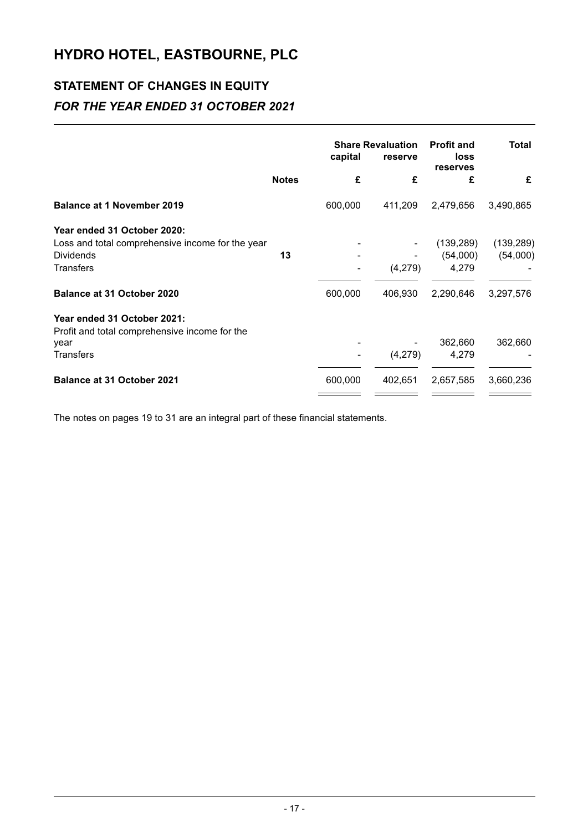## **STATEMENT OF CHANGES IN EQUITY**  *FOR THE YEAR ENDED 31 OCTOBER 2021*

|                                                  | capital      |                          | <b>Share Revaluation</b><br>reserve | <b>Profit and</b><br>loss<br>reserves | Total      |
|--------------------------------------------------|--------------|--------------------------|-------------------------------------|---------------------------------------|------------|
|                                                  | <b>Notes</b> | £                        | £                                   | £                                     | £          |
| <b>Balance at 1 November 2019</b>                |              | 600,000                  | 411,209                             | 2,479,656                             | 3,490,865  |
| Year ended 31 October 2020:                      |              |                          |                                     |                                       |            |
| Loss and total comprehensive income for the year |              |                          |                                     | (139, 289)                            | (139, 289) |
| <b>Dividends</b>                                 | 13           |                          |                                     | (54,000)                              | (54,000)   |
| <b>Transfers</b>                                 |              |                          | (4,279)                             | 4,279                                 |            |
| <b>Balance at 31 October 2020</b>                |              | 600,000                  | 406,930                             | 2,290,646                             | 3,297,576  |
| Year ended 31 October 2021:                      |              |                          |                                     |                                       |            |
| Profit and total comprehensive income for the    |              |                          |                                     |                                       |            |
| year                                             |              |                          |                                     | 362,660                               | 362,660    |
| <b>Transfers</b>                                 |              | $\overline{\phantom{a}}$ | (4,279)                             | 4,279                                 |            |
| <b>Balance at 31 October 2021</b>                |              | 600,000                  | 402,651                             | 2,657,585                             | 3,660,236  |
|                                                  |              |                          |                                     |                                       |            |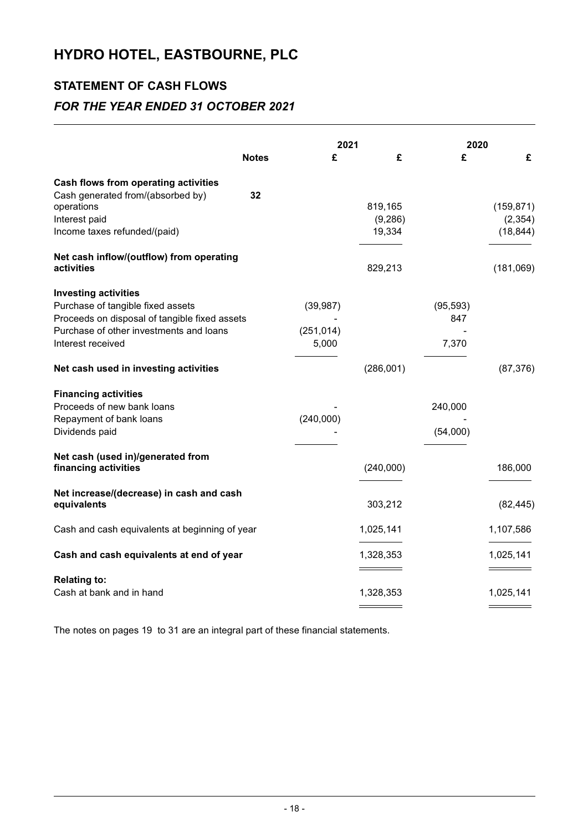## **STATEMENT OF CASH FLOWS**

### *FOR THE YEAR ENDED 31 OCTOBER 2021*

|                                                                                                                                                                                   |              | 2021                             |                               | 2020                      |                                     |
|-----------------------------------------------------------------------------------------------------------------------------------------------------------------------------------|--------------|----------------------------------|-------------------------------|---------------------------|-------------------------------------|
|                                                                                                                                                                                   | <b>Notes</b> | £                                | £                             | £                         | £                                   |
| <b>Cash flows from operating activities</b><br>Cash generated from/(absorbed by)<br>operations<br>Interest paid<br>Income taxes refunded/(paid)                                   | 32           |                                  | 819,165<br>(9, 286)<br>19,334 |                           | (159, 871)<br>(2, 354)<br>(18, 844) |
| Net cash inflow/(outflow) from operating<br>activities                                                                                                                            |              |                                  | 829,213                       |                           | (181,069)                           |
| <b>Investing activities</b><br>Purchase of tangible fixed assets<br>Proceeds on disposal of tangible fixed assets<br>Purchase of other investments and loans<br>Interest received |              | (39, 987)<br>(251, 014)<br>5,000 |                               | (95, 593)<br>847<br>7,370 |                                     |
| Net cash used in investing activities                                                                                                                                             |              |                                  | (286,001)                     |                           | (87, 376)                           |
| <b>Financing activities</b><br>Proceeds of new bank loans<br>Repayment of bank loans<br>Dividends paid                                                                            |              | (240,000)                        |                               | 240,000<br>(54,000)       |                                     |
| Net cash (used in)/generated from<br>financing activities                                                                                                                         |              |                                  | (240,000)                     |                           | 186,000                             |
| Net increase/(decrease) in cash and cash<br>equivalents                                                                                                                           |              |                                  | 303,212                       |                           | (82, 445)                           |
| Cash and cash equivalents at beginning of year                                                                                                                                    |              |                                  | 1,025,141                     |                           | 1,107,586                           |
| Cash and cash equivalents at end of year                                                                                                                                          |              |                                  | 1,328,353                     |                           | 1,025,141                           |
| <b>Relating to:</b><br>Cash at bank and in hand                                                                                                                                   |              |                                  | 1,328,353                     |                           | 1,025,141                           |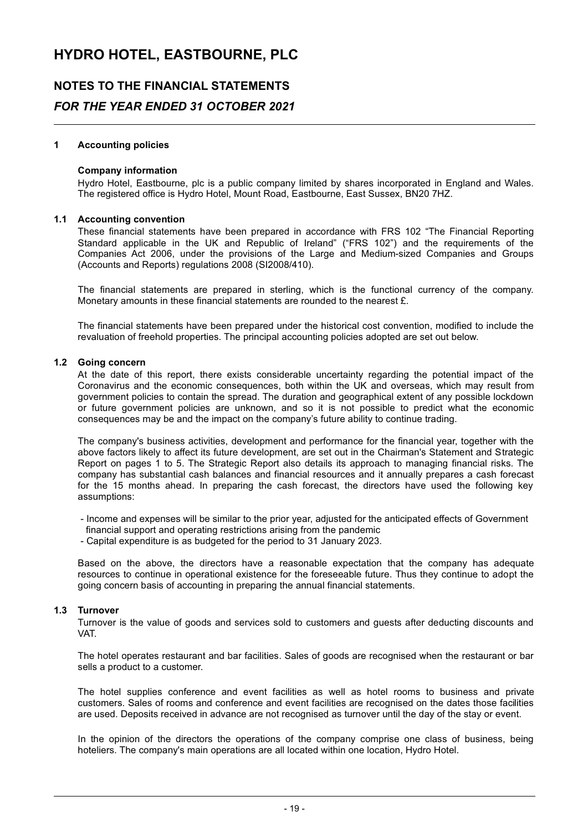### **NOTES TO THE FINANCIAL STATEMENTS**

### *FOR THE YEAR ENDED 31 OCTOBER 2021*

#### **1 Accounting policies**

#### **Company information**

Hydro Hotel, Eastbourne, plc is a public company limited by shares incorporated in England and Wales. The registered office is Hydro Hotel, Mount Road, Eastbourne, East Sussex, BN20 7HZ.

#### **1.1 Accounting convention**

These financial statements have been prepared in accordance with FRS 102 "The Financial Reporting Standard applicable in the UK and Republic of Ireland" ("FRS 102") and the requirements of the Companies Act 2006, under the provisions of the Large and Medium-sized Companies and Groups (Accounts and Reports) regulations 2008 (SI2008/410).

The financial statements are prepared in sterling, which is the functional currency of the company. Monetary amounts in these financial statements are rounded to the nearest £.

The financial statements have been prepared under the historical cost convention, modified to include the revaluation of freehold properties. The principal accounting policies adopted are set out below.

#### **1.2 Going concern**

At the date of this report, there exists considerable uncertainty regarding the potential impact of the Coronavirus and the economic consequences, both within the UK and overseas, which may result from government policies to contain the spread. The duration and geographical extent of any possible lockdown or future government policies are unknown, and so it is not possible to predict what the economic consequences may be and the impact on the company's future ability to continue trading.

The company's business activities, development and performance for the financial year, together with the above factors likely to affect its future development, are set out in the Chairman's Statement and Strategic Report on pages 1 to 5. The Strategic Report also details its approach to managing financial risks. The company has substantial cash balances and financial resources and it annually prepares a cash forecast for the 15 months ahead. In preparing the cash forecast, the directors have used the following key assumptions:

- Income and expenses will be similar to the prior year, adjusted for the anticipated effects of Government financial support and operating restrictions arising from the pandemic

- Capital expenditure is as budgeted for the period to 31 January 2023.

Based on the above, the directors have a reasonable expectation that the company has adequate resources to continue in operational existence for the foreseeable future. Thus they continue to adopt the going concern basis of accounting in preparing the annual financial statements.

#### **1.3 Turnover**

Turnover is the value of goods and services sold to customers and guests after deducting discounts and VAT.

The hotel operates restaurant and bar facilities. Sales of goods are recognised when the restaurant or bar sells a product to a customer.

The hotel supplies conference and event facilities as well as hotel rooms to business and private customers. Sales of rooms and conference and event facilities are recognised on the dates those facilities are used. Deposits received in advance are not recognised as turnover until the day of the stay or event.

In the opinion of the directors the operations of the company comprise one class of business, being hoteliers. The company's main operations are all located within one location, Hydro Hotel.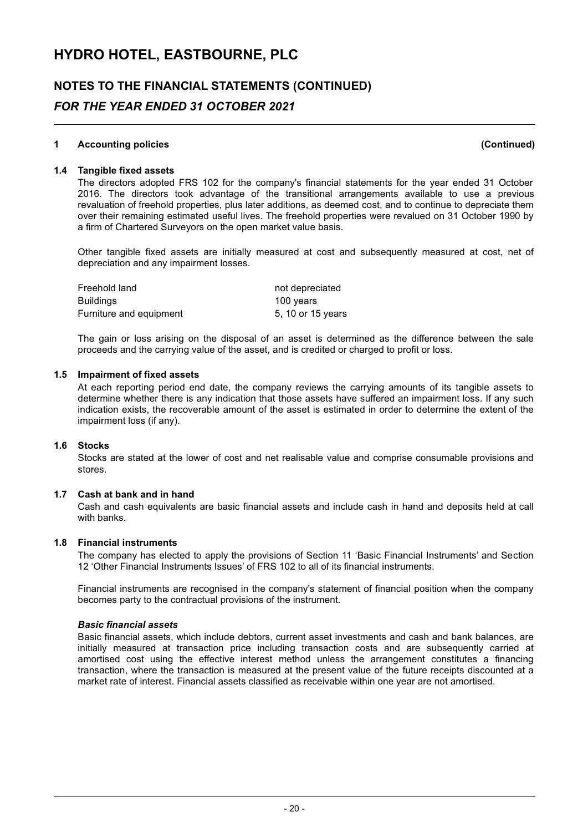### **NOTES TO THE FINANCIAL STATEMENTS (CONTINUED)** *FOR THE YEAR ENDED 31 OCTOBER 2021*

#### **1 Accounting policies (Continued)**

#### **1.4 Tangible fixed assets**

The directors adopted FRS 102 for the company's financial statements for the year ended 31 October 2016. The directors took advantage of the transitional arrangements available to use a previous revaluation of freehold properties, plus later additions, as deemed cost, and to continue to depreciate them over their remaining estimated useful lives. The freehold properties were revalued on 31 October 1990 by a firm of Chartered Surveyors on the open market value basis.

Other tangible fixed assets are initially measured at cost and subsequently measured at cost, net of depreciation and any impairment losses.

| Freehold land           | not depreciated   |
|-------------------------|-------------------|
| Buildings               | 100 years         |
| Furniture and equipment | 5, 10 or 15 years |

The gain or loss arising on the disposal of an asset is determined as the difference between the sale proceeds and the carrying value of the asset, and is credited or charged to profit or loss.

#### **1.5 Impairment of fixed assets**

At each reporting period end date, the company reviews the carrying amounts of its tangible assets to determine whether there is any indication that those assets have suffered an impairment loss. If any such indication exists, the recoverable amount of the asset is estimated in order to determine the extent of the impairment loss (if any).

#### **1.6 Stocks**

Stocks are stated at the lower of cost and net realisable value and comprise consumable provisions and stores.

#### **1.7 Cash at bank and in hand**

Cash and cash equivalents are basic financial assets and include cash in hand and deposits held at call with banks.

#### **1.8 Financial instruments**

The company has elected to apply the provisions of Section 11 'Basic Financial Instruments' and Section 12 'Other Financial Instruments Issues' of FRS 102 to all of its financial instruments.

Financial instruments are recognised in the company's statement of financial position when the company becomes party to the contractual provisions of the instrument.

#### *Basic financial assets*

Basic financial assets, which include debtors, current asset investments and cash and bank balances, are initially measured at transaction price including transaction costs and are subsequently carried at amortised cost using the effective interest method unless the arrangement constitutes a financing transaction, where the transaction is measured at the present value of the future receipts discounted at a market rate of interest. Financial assets classified as receivable within one year are not amortised.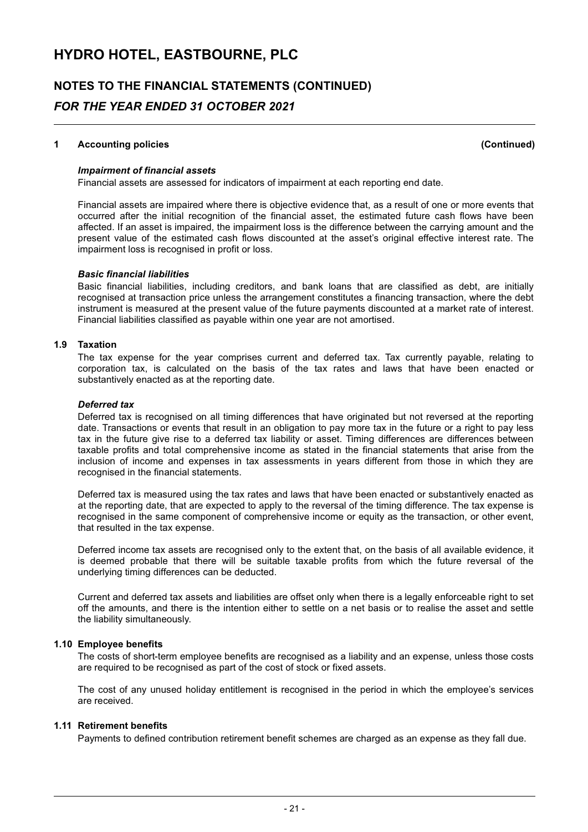## **NOTES TO THE FINANCIAL STATEMENTS (CONTINUED)** *FOR THE YEAR ENDED 31 OCTOBER 2021*

#### **1 Accounting policies (Continued)**

#### *Impairment of financial assets*

Financial assets are assessed for indicators of impairment at each reporting end date.

Financial assets are impaired where there is objective evidence that, as a result of one or more events that occurred after the initial recognition of the financial asset, the estimated future cash flows have been affected. If an asset is impaired, the impairment loss is the difference between the carrying amount and the present value of the estimated cash flows discounted at the asset's original effective interest rate. The impairment loss is recognised in profit or loss.

#### *Basic financial liabilities*

Basic financial liabilities, including creditors, and bank loans that are classified as debt, are initially recognised at transaction price unless the arrangement constitutes a financing transaction, where the debt instrument is measured at the present value of the future payments discounted at a market rate of interest. Financial liabilities classified as payable within one year are not amortised.

#### **1.9 Taxation**

The tax expense for the year comprises current and deferred tax. Tax currently payable, relating to corporation tax, is calculated on the basis of the tax rates and laws that have been enacted or substantively enacted as at the reporting date.

#### *Deferred tax*

Deferred tax is recognised on all timing differences that have originated but not reversed at the reporting date. Transactions or events that result in an obligation to pay more tax in the future or a right to pay less tax in the future give rise to a deferred tax liability or asset. Timing differences are differences between taxable profits and total comprehensive income as stated in the financial statements that arise from the inclusion of income and expenses in tax assessments in years different from those in which they are recognised in the financial statements.

Deferred tax is measured using the tax rates and laws that have been enacted or substantively enacted as at the reporting date, that are expected to apply to the reversal of the timing difference. The tax expense is recognised in the same component of comprehensive income or equity as the transaction, or other event, that resulted in the tax expense.

Deferred income tax assets are recognised only to the extent that, on the basis of all available evidence, it is deemed probable that there will be suitable taxable profits from which the future reversal of the underlying timing differences can be deducted.

Current and deferred tax assets and liabilities are offset only when there is a legally enforceable right to set off the amounts, and there is the intention either to settle on a net basis or to realise the asset and settle the liability simultaneously.

#### **1.10 Employee benefits**

The costs of short-term employee benefits are recognised as a liability and an expense, unless those costs are required to be recognised as part of the cost of stock or fixed assets.

The cost of any unused holiday entitlement is recognised in the period in which the employee's services are received.

#### **1.11 Retirement benefits**

Payments to defined contribution retirement benefit schemes are charged as an expense as they fall due.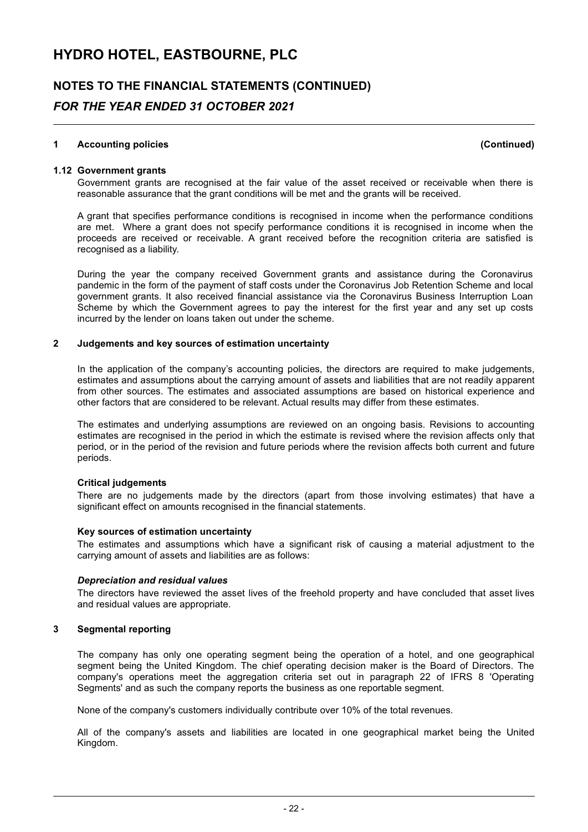## **NOTES TO THE FINANCIAL STATEMENTS (CONTINUED)** *FOR THE YEAR ENDED 31 OCTOBER 2021*

#### **1 Accounting policies (Continued)**

**1.12 Government grants**

Government grants are recognised at the fair value of the asset received or receivable when there is reasonable assurance that the grant conditions will be met and the grants will be received.

A grant that specifies performance conditions is recognised in income when the performance conditions are met. Where a grant does not specify performance conditions it is recognised in income when the proceeds are received or receivable. A grant received before the recognition criteria are satisfied is recognised as a liability.

During the year the company received Government grants and assistance during the Coronavirus pandemic in the form of the payment of staff costs under the Coronavirus Job Retention Scheme and local government grants. It also received financial assistance via the Coronavirus Business Interruption Loan Scheme by which the Government agrees to pay the interest for the first year and any set up costs incurred by the lender on loans taken out under the scheme.

#### **2 Judgements and key sources of estimation uncertainty**

In the application of the company's accounting policies, the directors are required to make judgements, estimates and assumptions about the carrying amount of assets and liabilities that are not readily apparent from other sources. The estimates and associated assumptions are based on historical experience and other factors that are considered to be relevant. Actual results may differ from these estimates.

The estimates and underlying assumptions are reviewed on an ongoing basis. Revisions to accounting estimates are recognised in the period in which the estimate is revised where the revision affects only that period, or in the period of the revision and future periods where the revision affects both current and future periods.

#### **Critical judgements**

There are no judgements made by the directors (apart from those involving estimates) that have a significant effect on amounts recognised in the financial statements.

#### **Key sources of estimation uncertainty**

The estimates and assumptions which have a significant risk of causing a material adjustment to the carrying amount of assets and liabilities are as follows:

#### *Depreciation and residual values*

The directors have reviewed the asset lives of the freehold property and have concluded that asset lives and residual values are appropriate.

#### **3 Segmental reporting**

The company has only one operating segment being the operation of a hotel, and one geographical segment being the United Kingdom. The chief operating decision maker is the Board of Directors. The company's operations meet the aggregation criteria set out in paragraph 22 of IFRS 8 'Operating Segments' and as such the company reports the business as one reportable segment.

None of the company's customers individually contribute over 10% of the total revenues.

All of the company's assets and liabilities are located in one geographical market being the United Kingdom.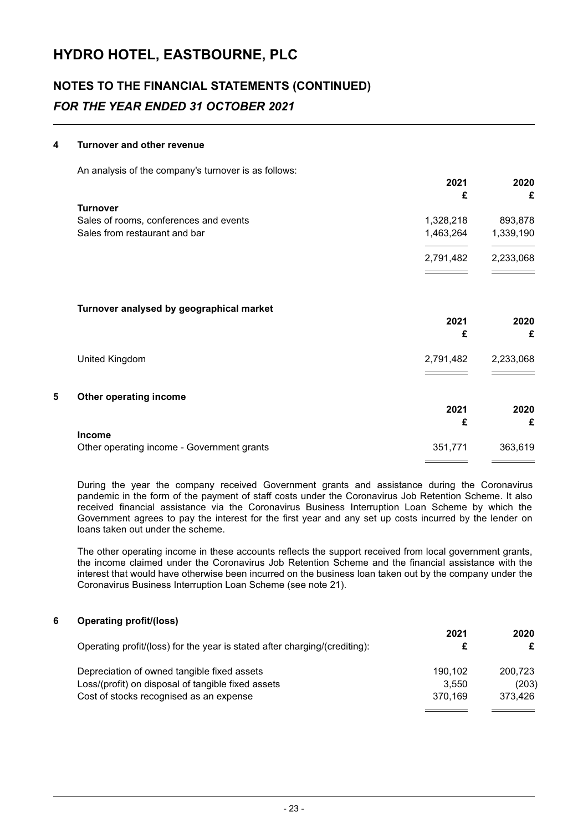## **NOTES TO THE FINANCIAL STATEMENTS (CONTINUED)** *FOR THE YEAR ENDED 31 OCTOBER 2021*

#### **4 Turnover and other revenue**

An analysis of the company's turnover is as follows:

|                                            | 2021<br>£ | 2020<br>£ |
|--------------------------------------------|-----------|-----------|
| <b>Turnover</b>                            |           |           |
| Sales of rooms, conferences and events     | 1,328,218 | 893,878   |
| Sales from restaurant and bar              | 1,463,264 | 1,339,190 |
|                                            | 2,791,482 | 2,233,068 |
| Turnover analysed by geographical market   | 2021      | 2020      |
|                                            | £         | £         |
| United Kingdom                             | 2,791,482 | 2,233,068 |
|                                            |           |           |
| 5<br>Other operating income                |           |           |
|                                            | 2021<br>£ | 2020<br>£ |
| <b>Income</b>                              |           |           |
| Other operating income - Government grants | 351,771   | 363,619   |

During the year the company received Government grants and assistance during the Coronavirus pandemic in the form of the payment of staff costs under the Coronavirus Job Retention Scheme. It also received financial assistance via the Coronavirus Business Interruption Loan Scheme by which the Government agrees to pay the interest for the first year and any set up costs incurred by the lender on loans taken out under the scheme.

The other operating income in these accounts reflects the support received from local government grants, the income claimed under the Coronavirus Job Retention Scheme and the financial assistance with the interest that would have otherwise been incurred on the business loan taken out by the company under the Coronavirus Business Interruption Loan Scheme (see note 21).

| 6 | <b>Operating profit/(loss)</b>                                             |         |         |
|---|----------------------------------------------------------------------------|---------|---------|
|   |                                                                            | 2021    | 2020    |
|   | Operating profit/(loss) for the year is stated after charging/(crediting): |         | £       |
|   | Depreciation of owned tangible fixed assets                                | 190.102 | 200.723 |
|   | Loss/(profit) on disposal of tangible fixed assets                         | 3.550   | (203)   |
|   | Cost of stocks recognised as an expense                                    | 370.169 | 373.426 |
|   |                                                                            |         |         |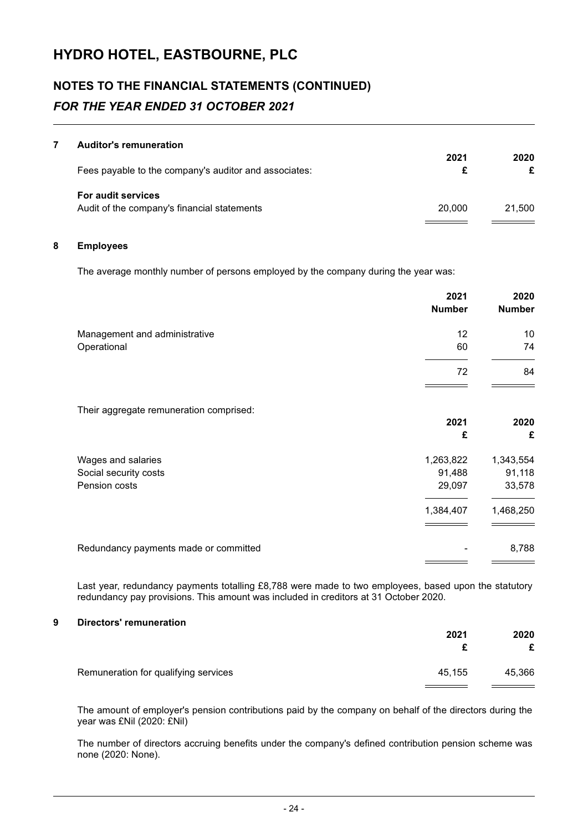## **NOTES TO THE FINANCIAL STATEMENTS (CONTINUED)** *FOR THE YEAR ENDED 31 OCTOBER 2021*

#### **7 Auditor's remuneration**

| Fees payable to the company's auditor and associates:                    | 2021   | 2020   |
|--------------------------------------------------------------------------|--------|--------|
| <b>For audit services</b><br>Audit of the company's financial statements | 20,000 | 21.500 |

#### **8 Employees**

The average monthly number of persons employed by the company during the year was:

|                                         | 2021<br><b>Number</b> | 2020<br><b>Number</b> |
|-----------------------------------------|-----------------------|-----------------------|
| Management and administrative           | 12                    | 10                    |
| Operational                             | 60                    | 74                    |
|                                         | 72                    | 84                    |
| Their aggregate remuneration comprised: |                       |                       |
|                                         | 2021                  | 2020                  |
|                                         | £                     | £                     |
| Wages and salaries                      | 1,263,822             | 1,343,554             |
| Social security costs                   | 91,488                | 91,118                |
| Pension costs                           | 29,097                | 33,578                |
|                                         | 1,384,407             | 1,468,250             |
| Redundancy payments made or committed   |                       | 8,788                 |
|                                         |                       |                       |

Last year, redundancy payments totalling £8,788 were made to two employees, based upon the statutory redundancy pay provisions. This amount was included in creditors at 31 October 2020.

### **9 Directors' remuneration**

|                                      | 2021   | 2020<br>£ |
|--------------------------------------|--------|-----------|
| Remuneration for qualifying services | 45.155 | 45,366    |

The amount of employer's pension contributions paid by the company on behalf of the directors during the year was £Nil (2020: £Nil)

The number of directors accruing benefits under the company's defined contribution pension scheme was none (2020: None).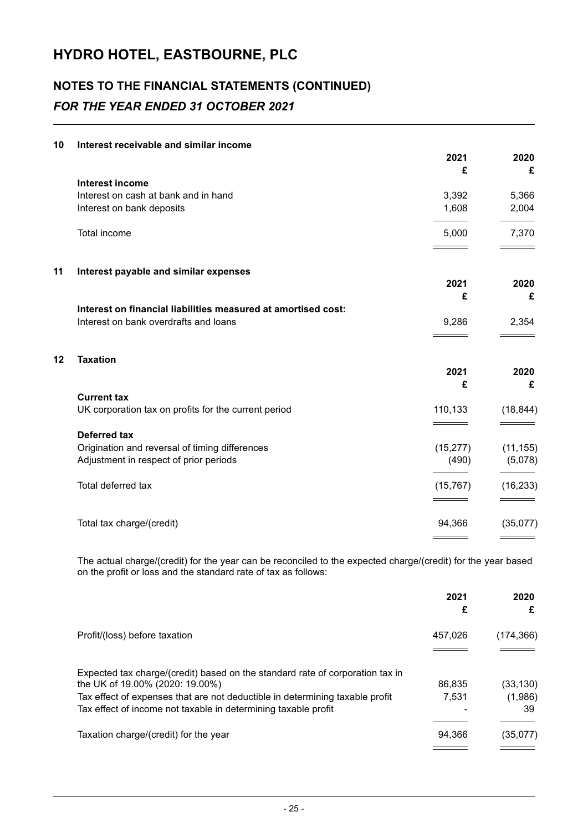## **NOTES TO THE FINANCIAL STATEMENTS (CONTINUED)** *FOR THE YEAR ENDED 31 OCTOBER 2021*

| Interest receivable and similar income                        |                                                                                                                                                                                                                                                                             |                                             |
|---------------------------------------------------------------|-----------------------------------------------------------------------------------------------------------------------------------------------------------------------------------------------------------------------------------------------------------------------------|---------------------------------------------|
|                                                               | 2021                                                                                                                                                                                                                                                                        | 2020                                        |
|                                                               |                                                                                                                                                                                                                                                                             | £                                           |
|                                                               |                                                                                                                                                                                                                                                                             | 5,366                                       |
| Interest on bank deposits                                     | 1,608                                                                                                                                                                                                                                                                       | 2,004                                       |
| Total income                                                  | 5,000                                                                                                                                                                                                                                                                       | 7,370                                       |
|                                                               |                                                                                                                                                                                                                                                                             |                                             |
|                                                               | 2021                                                                                                                                                                                                                                                                        | 2020                                        |
|                                                               | £                                                                                                                                                                                                                                                                           | £                                           |
| Interest on financial liabilities measured at amortised cost: |                                                                                                                                                                                                                                                                             |                                             |
| Interest on bank overdrafts and loans                         | 9,286                                                                                                                                                                                                                                                                       | 2,354                                       |
| <b>Taxation</b>                                               |                                                                                                                                                                                                                                                                             |                                             |
|                                                               | 2021                                                                                                                                                                                                                                                                        | 2020                                        |
|                                                               | £                                                                                                                                                                                                                                                                           | £                                           |
| <b>Current tax</b>                                            |                                                                                                                                                                                                                                                                             |                                             |
|                                                               |                                                                                                                                                                                                                                                                             | (18, 844)                                   |
|                                                               |                                                                                                                                                                                                                                                                             |                                             |
|                                                               |                                                                                                                                                                                                                                                                             | (11, 155)                                   |
|                                                               |                                                                                                                                                                                                                                                                             | (5,078)                                     |
|                                                               |                                                                                                                                                                                                                                                                             |                                             |
| Total deferred tax                                            | (15, 767)                                                                                                                                                                                                                                                                   | (16, 233)                                   |
|                                                               |                                                                                                                                                                                                                                                                             |                                             |
| Total tax charge/(credit)                                     | 94,366                                                                                                                                                                                                                                                                      | (35,077)                                    |
|                                                               | Interest income<br>Interest on cash at bank and in hand<br>Interest payable and similar expenses<br>UK corporation tax on profits for the current period<br><b>Deferred tax</b><br>Origination and reversal of timing differences<br>Adjustment in respect of prior periods | £<br>3,392<br>110,133<br>(15, 277)<br>(490) |

The actual charge/(credit) for the year can be reconciled to the expected charge/(credit) for the year based on the profit or loss and the standard rate of tax as follows:

|                                                                                                                                                                                                                                                                    | 2021<br>£       | 2020<br>£                  |
|--------------------------------------------------------------------------------------------------------------------------------------------------------------------------------------------------------------------------------------------------------------------|-----------------|----------------------------|
| Profit/(loss) before taxation                                                                                                                                                                                                                                      | 457.026         | (174, 366)                 |
| Expected tax charge/(credit) based on the standard rate of corporation tax in<br>the UK of 19.00% (2020: 19.00%)<br>Tax effect of expenses that are not deductible in determining taxable profit<br>Tax effect of income not taxable in determining taxable profit | 86.835<br>7.531 | (33, 130)<br>(1,986)<br>39 |
| Taxation charge/(credit) for the year                                                                                                                                                                                                                              | 94.366          | (35,077)                   |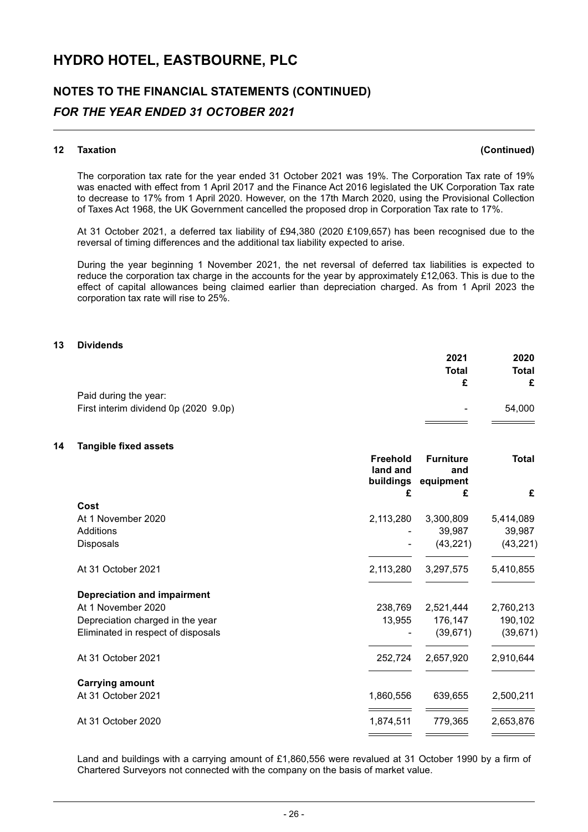### **NOTES TO THE FINANCIAL STATEMENTS (CONTINUED)**

### *FOR THE YEAR ENDED 31 OCTOBER 2021*

#### **12 Taxation (Continued)**

The corporation tax rate for the year ended 31 October 2021 was 19%. The Corporation Tax rate of 19% was enacted with effect from 1 April 2017 and the Finance Act 2016 legislated the UK Corporation Tax rate to decrease to 17% from 1 April 2020. However, on the 17th March 2020, using the Provisional Collection of Taxes Act 1968, the UK Government cancelled the proposed drop in Corporation Tax rate to 17%.

At 31 October 2021, a deferred tax liability of £94,380 (2020 £109,657) has been recognised due to the reversal of timing differences and the additional tax liability expected to arise.

During the year beginning 1 November 2021, the net reversal of deferred tax liabilities is expected to reduce the corporation tax charge in the accounts for the year by approximately £12,063. This is due to the effect of capital allowances being claimed earlier than depreciation charged. As from 1 April 2023 the corporation tax rate will rise to 25%.

#### **13 Dividends**

|                                       | 2021                     | 2020   |
|---------------------------------------|--------------------------|--------|
|                                       | Total                    | Total  |
|                                       |                          | £      |
| Paid during the year:                 |                          |        |
| First interim dividend 0p (2020 9.0p) | $\overline{\phantom{a}}$ | 54,000 |
|                                       |                          |        |

#### **14 Tangible fixed assets**

|                                    | Freehold<br>land and<br>buildings<br>£ | <b>Furniture</b><br>and<br>equipment<br>£ | Total<br>£ |
|------------------------------------|----------------------------------------|-------------------------------------------|------------|
| Cost                               |                                        |                                           |            |
| At 1 November 2020                 | 2,113,280                              | 3,300,809                                 | 5,414,089  |
| Additions                          |                                        | 39,987                                    | 39,987     |
| <b>Disposals</b>                   |                                        | (43, 221)                                 | (43, 221)  |
| At 31 October 2021                 | 2,113,280                              | 3,297,575                                 | 5,410,855  |
| <b>Depreciation and impairment</b> |                                        |                                           |            |
| At 1 November 2020                 | 238,769                                | 2,521,444                                 | 2,760,213  |
| Depreciation charged in the year   | 13,955                                 | 176,147                                   | 190,102    |
| Eliminated in respect of disposals |                                        | (39, 671)                                 | (39, 671)  |
| At 31 October 2021                 | 252,724                                | 2,657,920                                 | 2,910,644  |
| <b>Carrying amount</b>             |                                        |                                           |            |
| At 31 October 2021                 | 1,860,556                              | 639,655                                   | 2,500,211  |
| At 31 October 2020                 | 1,874,511                              | 779,365                                   | 2,653,876  |
|                                    |                                        |                                           |            |

Land and buildings with a carrying amount of £1,860,556 were revalued at 31 October 1990 by a firm of Chartered Surveyors not connected with the company on the basis of market value.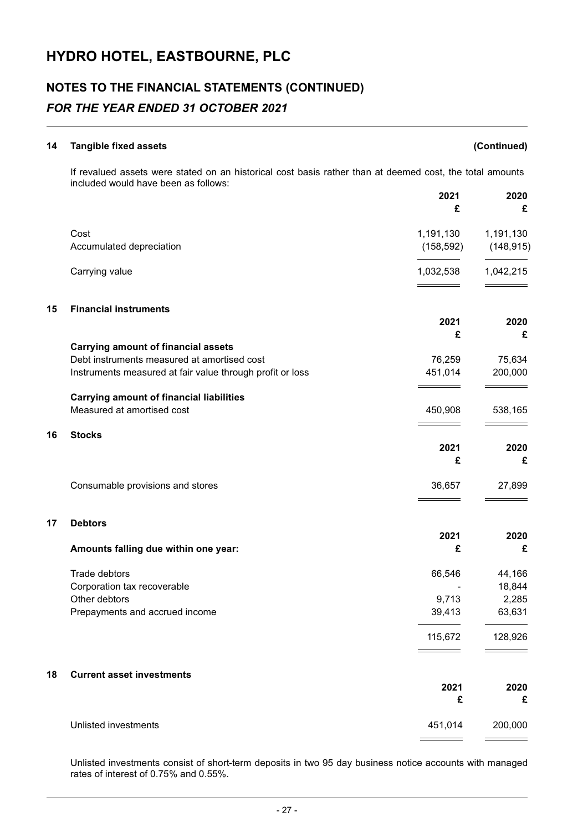## **NOTES TO THE FINANCIAL STATEMENTS (CONTINUED)**

### *FOR THE YEAR ENDED 31 OCTOBER 2021*

## **14 Tangible fixed assets (Continued)** If revalued assets were stated on an historical cost basis rather than at deemed cost, the total amounts included would have been as follows: **2021 2020 £ £** Cost 1,191,130 1,191,130 Accumulated depreciation (158,592) (148,915) Carrying value 2, 2015 1,032,538 1,042,215 **15 Financial instruments 2021 2020 £ £ Carrying amount of financial assets** Debt instruments measured at amortised cost 76,259 75,634 Instruments measured at fair value through profit or loss 451,014 200,000 **Carrying amount of financial liabilities** Measured at amortised cost **450,908** 538,165 **16 Stocks 2021 2020 £ £** Consumable provisions and stores 36,657 27,899 **17 Debtors 2021 2020 Amounts falling due within one year: £ £** Trade debtors and the set of the set of the set of the set of the set of the set of the set of the set of the set of the set of the set of the set of the set of the set of the set of the set of the set of the set of the se Corporation tax recoverable  $\sim$  18,844 Other debtors 2,285 Prepayments and accrued income 39,413 63,631 115,672 128,926 **18 Current asset investments 2021 2020**

|                      |         | £       |
|----------------------|---------|---------|
| Unlisted investments | 451,014 | 200,000 |
|                      |         |         |

Unlisted investments consist of short-term deposits in two 95 day business notice accounts with managed rates of interest of 0.75% and 0.55%.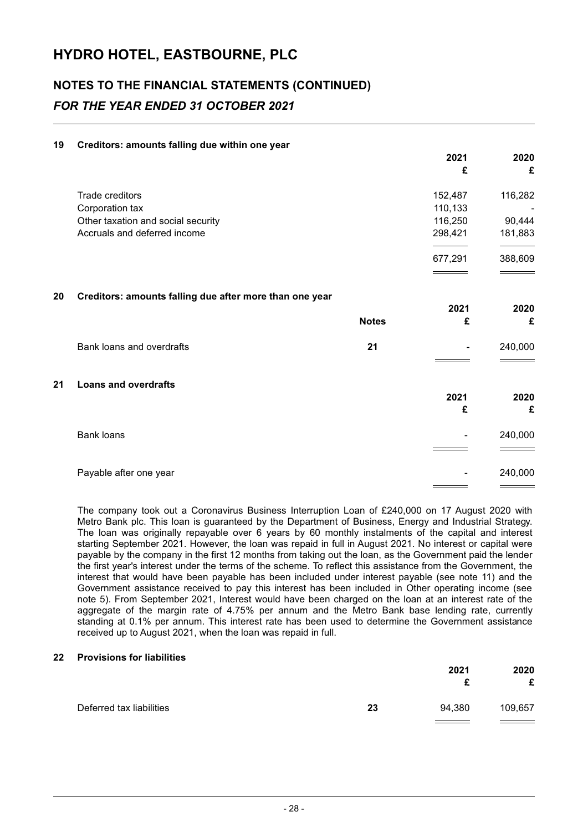## **NOTES TO THE FINANCIAL STATEMENTS (CONTINUED)** *FOR THE YEAR ENDED 31 OCTOBER 2021*

#### **19 Creditors: amounts falling due within one year**

|    |                                                         |              | 2021<br>£ | 2020<br>£ |
|----|---------------------------------------------------------|--------------|-----------|-----------|
|    | Trade creditors                                         |              | 152,487   | 116,282   |
|    | Corporation tax                                         |              | 110,133   |           |
|    | Other taxation and social security                      |              | 116,250   | 90,444    |
|    | Accruals and deferred income                            |              | 298,421   | 181,883   |
|    |                                                         |              | 677,291   | 388,609   |
|    |                                                         |              |           |           |
| 20 | Creditors: amounts falling due after more than one year |              |           |           |
|    |                                                         |              | 2021      | 2020      |
|    |                                                         | <b>Notes</b> | £         | £         |
|    | Bank loans and overdrafts                               | 21           |           | 240,000   |
|    |                                                         |              |           |           |
| 21 | <b>Loans and overdrafts</b>                             |              | 2021      | 2020      |
|    |                                                         |              | £         | £         |
|    | <b>Bank loans</b>                                       |              |           | 240,000   |
|    |                                                         |              |           |           |
|    | Payable after one year                                  |              |           | 240,000   |
|    |                                                         |              |           |           |

The company took out a Coronavirus Business Interruption Loan of £240,000 on 17 August 2020 with Metro Bank plc. This loan is guaranteed by the Department of Business, Energy and Industrial Strategy. The loan was originally repayable over 6 years by 60 monthly instalments of the capital and interest starting September 2021. However, the loan was repaid in full in August 2021. No interest or capital were payable by the company in the first 12 months from taking out the loan, as the Government paid the lender the first year's interest under the terms of the scheme. To reflect this assistance from the Government, the interest that would have been payable has been included under interest payable (see note 11) and the Government assistance received to pay this interest has been included in Other operating income (see note 5). From September 2021, Interest would have been charged on the loan at an interest rate of the aggregate of the margin rate of 4.75% per annum and the Metro Bank base lending rate, currently standing at 0.1% per annum. This interest rate has been used to determine the Government assistance received up to August 2021, when the loan was repaid in full.

#### **22 Provisions for liabilities**

|                          |    | 2021   | 2020<br>£ |
|--------------------------|----|--------|-----------|
| Deferred tax liabilities | 23 | 94,380 | 109,657   |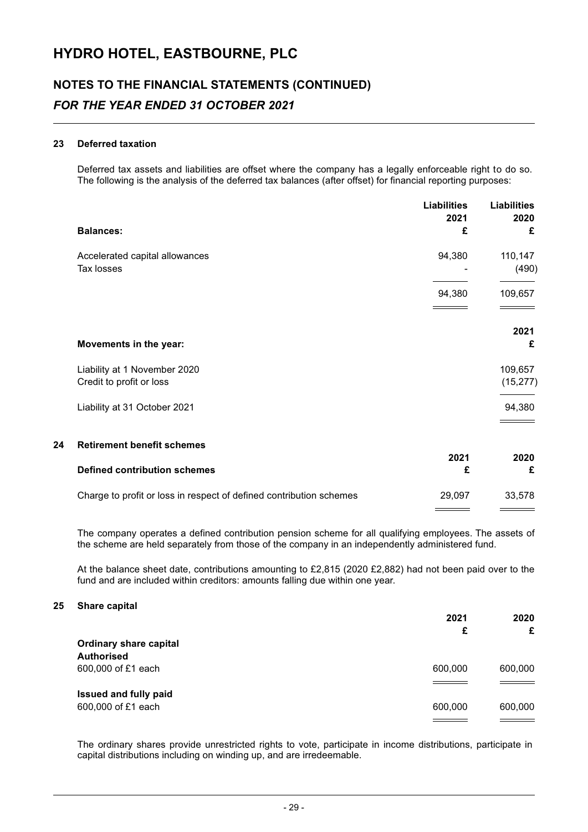## **NOTES TO THE FINANCIAL STATEMENTS (CONTINUED)** *FOR THE YEAR ENDED 31 OCTOBER 2021*

#### **23 Deferred taxation**

Deferred tax assets and liabilities are offset where the company has a legally enforceable right to do so. The following is the analysis of the deferred tax balances (after offset) for financial reporting purposes:

|    | <b>Balances:</b>                                                    | <b>Liabilities</b><br>2021<br>£ | <b>Liabilities</b><br>2020<br>£ |
|----|---------------------------------------------------------------------|---------------------------------|---------------------------------|
|    | Accelerated capital allowances<br>Tax losses                        | 94,380                          | 110,147<br>(490)                |
|    |                                                                     | 94,380                          | 109,657                         |
|    | Movements in the year:                                              |                                 | 2021<br>£                       |
|    | Liability at 1 November 2020<br>Credit to profit or loss            |                                 | 109,657<br>(15, 277)            |
|    | Liability at 31 October 2021                                        |                                 | 94,380                          |
| 24 | <b>Retirement benefit schemes</b>                                   |                                 |                                 |
|    | <b>Defined contribution schemes</b>                                 | 2021<br>£                       | 2020<br>£                       |
|    | Charge to profit or loss in respect of defined contribution schemes | 29,097                          | 33,578                          |

The company operates a defined contribution pension scheme for all qualifying employees. The assets of the scheme are held separately from those of the company in an independently administered fund.

At the balance sheet date, contributions amounting to £2,815 (2020 £2,882) had not been paid over to the fund and are included within creditors: amounts falling due within one year.

#### **25 Share capital**

|                               | 2021    | 2020    |
|-------------------------------|---------|---------|
|                               | £       | £       |
| <b>Ordinary share capital</b> |         |         |
| <b>Authorised</b>             |         |         |
| 600,000 of £1 each            | 600,000 | 600,000 |
|                               |         |         |
| <b>Issued and fully paid</b>  |         |         |
| 600,000 of £1 each            | 600,000 | 600,000 |
|                               |         |         |

The ordinary shares provide unrestricted rights to vote, participate in income distributions, participate in capital distributions including on winding up, and are irredeemable.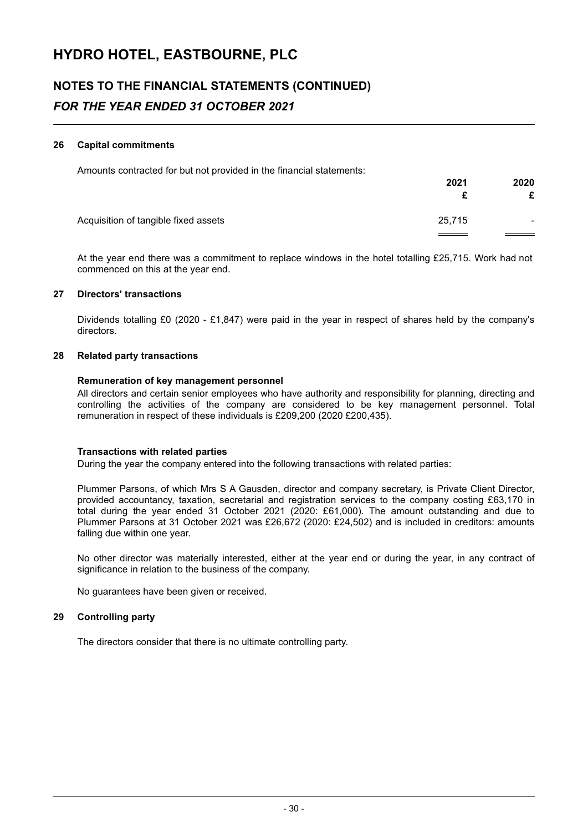## **NOTES TO THE FINANCIAL STATEMENTS (CONTINUED)** *FOR THE YEAR ENDED 31 OCTOBER 2021*

#### **26 Capital commitments**

Amounts contracted for but not provided in the financial statements:

|                                      | 2021   | 2020                     |
|--------------------------------------|--------|--------------------------|
|                                      |        | £                        |
| Acquisition of tangible fixed assets | 25,715 | $\overline{\phantom{0}}$ |
|                                      |        |                          |

At the year end there was a commitment to replace windows in the hotel totalling £25,715. Work had not commenced on this at the year end.

#### **27 Directors' transactions**

Dividends totalling £0 (2020 - £1,847) were paid in the year in respect of shares held by the company's directors.

#### **28 Related party transactions**

#### **Remuneration of key management personnel**

All directors and certain senior employees who have authority and responsibility for planning, directing and controlling the activities of the company are considered to be key management personnel. Total remuneration in respect of these individuals is £209,200 (2020 £200,435).

#### **Transactions with related parties**

During the year the company entered into the following transactions with related parties:

Plummer Parsons, of which Mrs S A Gausden, director and company secretary, is Private Client Director, provided accountancy, taxation, secretarial and registration services to the company costing £63,170 in total during the year ended 31 October 2021 (2020: £61,000). The amount outstanding and due to Plummer Parsons at 31 October 2021 was £26,672 (2020: £24,502) and is included in creditors: amounts falling due within one year.

No other director was materially interested, either at the year end or during the year, in any contract of significance in relation to the business of the company.

No guarantees have been given or received.

#### **29 Controlling party**

The directors consider that there is no ultimate controlling party.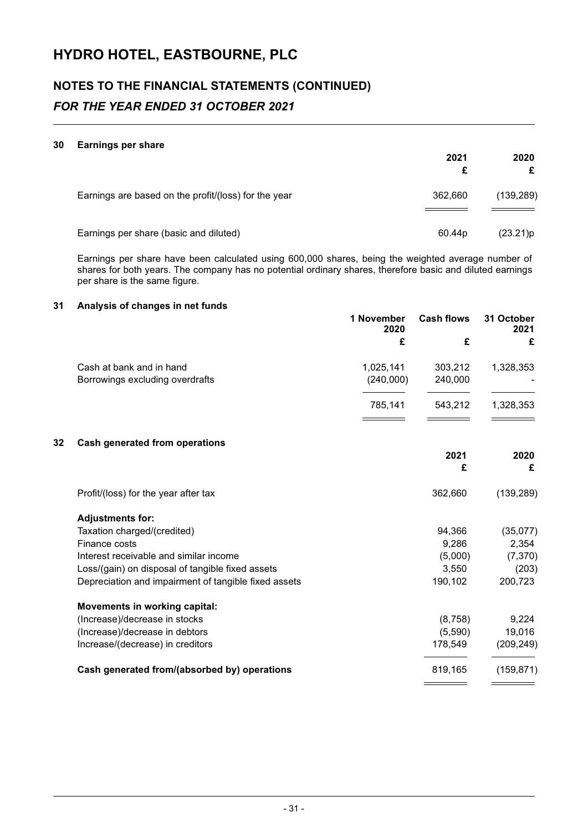## **NOTES TO THE FINANCIAL STATEMENTS (CONTINUED)** *FOR THE YEAR ENDED 31 OCTOBER 2021*

#### **30 Earnings per share**

|                                                      | 2021               | 2020<br>£  |
|------------------------------------------------------|--------------------|------------|
| Earnings are based on the profit/(loss) for the year | 362,660            | (139, 289) |
| Earnings per share (basic and diluted)               | 60.44 <sub>p</sub> | (23.21)p   |

Earnings per share have been calculated using 600,000 shares, being the weighted average number of shares for both years. The company has no potential ordinary shares, therefore basic and diluted earnings per share is the same figure.

#### **31 Analysis of changes in net funds**

|    |                                                      | 1 November<br>2020 | <b>Cash flows</b> | 31 October<br>2021 |
|----|------------------------------------------------------|--------------------|-------------------|--------------------|
|    |                                                      | £                  | £                 | £                  |
|    | Cash at bank and in hand                             | 1,025,141          | 303,212           | 1,328,353          |
|    | Borrowings excluding overdrafts                      | (240,000)          | 240,000           |                    |
|    |                                                      | 785,141            | 543,212           | 1,328,353          |
| 32 | <b>Cash generated from operations</b>                |                    |                   |                    |
|    |                                                      |                    | 2021<br>£         | 2020<br>£          |
|    | Profit/(loss) for the year after tax                 |                    | 362,660           | (139, 289)         |
|    | <b>Adjustments for:</b>                              |                    |                   |                    |
|    | Taxation charged/(credited)                          |                    | 94,366            | (35,077)           |
|    | Finance costs                                        |                    | 9,286             | 2,354              |
|    | Interest receivable and similar income               |                    | (5,000)           | (7, 370)           |
|    | Loss/(gain) on disposal of tangible fixed assets     |                    | 3,550             | (203)              |
|    | Depreciation and impairment of tangible fixed assets |                    | 190,102           | 200,723            |
|    | <b>Movements in working capital:</b>                 |                    |                   |                    |
|    | (Increase)/decrease in stocks                        |                    | (8,758)           | 9,224              |
|    | (Increase)/decrease in debtors                       |                    | (5,590)           | 19,016             |
|    | Increase/(decrease) in creditors                     |                    | 178,549           | (209, 249)         |
|    | Cash generated from/(absorbed by) operations         |                    | 819,165           | (159, 871)         |
|    |                                                      |                    |                   |                    |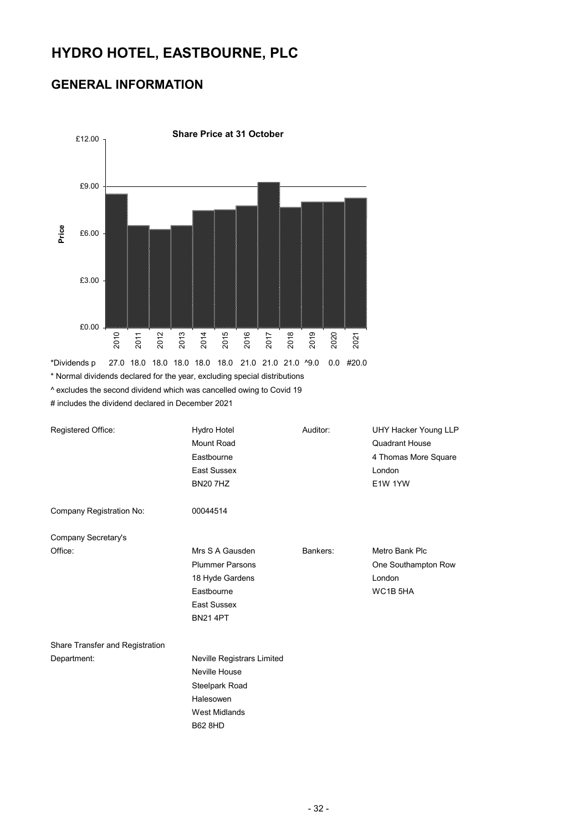### **GENERAL INFORMATION**



\* Normal dividends declared for the year, excluding special distributions ^ excludes the second dividend which was cancelled owing to Covid 19

# includes the dividend declared in December 2021

| Registered Office:              | Hydro Hotel<br>Mount Road<br>Eastbourne<br>East Sussex<br><b>BN20 7HZ</b>                                                   | Auditor: | UHY Hacker Young LLP<br><b>Quadrant House</b><br>4 Thomas More Square<br>London<br>E1W 1YW |
|---------------------------------|-----------------------------------------------------------------------------------------------------------------------------|----------|--------------------------------------------------------------------------------------------|
| Company Registration No:        | 00044514                                                                                                                    |          |                                                                                            |
| Company Secretary's             |                                                                                                                             |          |                                                                                            |
| Office:                         | Mrs S A Gausden<br><b>Plummer Parsons</b><br>18 Hyde Gardens<br>Eastbourne<br>East Sussex<br><b>BN21 4PT</b>                | Bankers: | Metro Bank Plc<br>One Southampton Row<br>London<br>WC1B <sub>5HA</sub>                     |
| Share Transfer and Registration |                                                                                                                             |          |                                                                                            |
| Department:                     | <b>Neville Registrars Limited</b><br>Neville House<br>Steelpark Road<br>Halesowen<br><b>West Midlands</b><br><b>B62 8HD</b> |          |                                                                                            |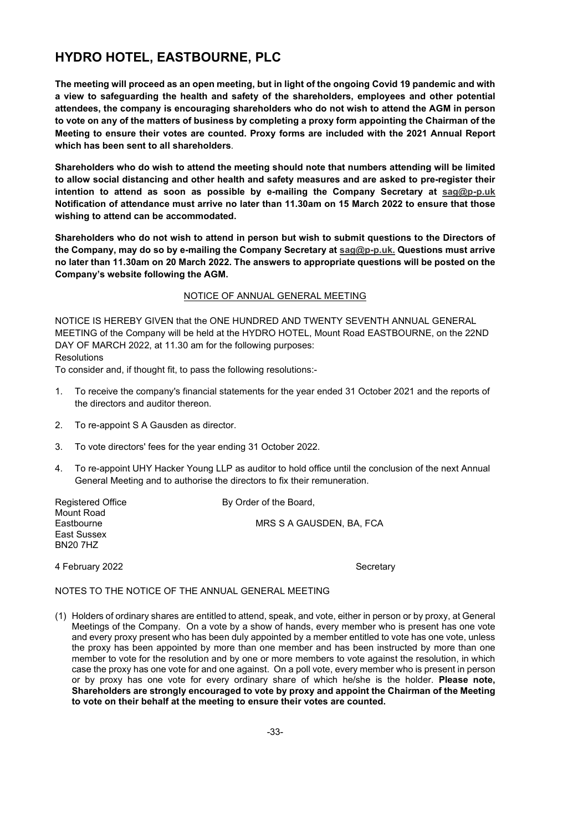**The meeting will proceed as an open meeting, but in light of the ongoing Covid 19 pandemic and with a view to safeguarding the health and safety of the shareholders, employees and other potential attendees, the company is encouraging shareholders who do not wish to attend the AGM in person to vote on any of the matters of business by completing a proxy form appointing the Chairman of the Meeting to ensure their votes are counted. Proxy forms are included with the 2021 Annual Report which has been sent to all shareholders**.

**Shareholders who do wish to attend the meeting should note that numbers attending will be limited to allow social distancing and other health and safety measures and are asked to pre-register their intention to attend as soon as possible by e-mailing the Company Secretary at sag@p-p.uk Notification of attendance must arrive no later than 11.30am on 15 March 2022 to ensure that those wishing to attend can be accommodated.** 

**Shareholders who do not wish to attend in person but wish to submit questions to the Directors of the Company, may do so by e-mailing the Company Secretary at sag@p-p.uk. Questions must arrive no later than 11.30am on 20 March 2022. The answers to appropriate questions will be posted on the Company's website following the AGM.** 

#### NOTICE OF ANNUAL GENERAL MEETING

NOTICE IS HEREBY GIVEN that the ONE HUNDRED AND TWENTY SEVENTH ANNUAL GENERAL MEETING of the Company will be held at the HYDRO HOTEL, Mount Road EASTBOURNE, on the 22ND DAY OF MARCH 2022, at 11.30 am for the following purposes: **Resolutions** 

To consider and, if thought fit, to pass the following resolutions:-

- 1. To receive the company's financial statements for the year ended 31 October 2021 and the reports of the directors and auditor thereon.
- 2. To re-appoint S A Gausden as director.
- 3. To vote directors' fees for the year ending 31 October 2022.
- 4. To re-appoint UHY Hacker Young LLP as auditor to hold office until the conclusion of the next Annual General Meeting and to authorise the directors to fix their remuneration.

Mount Road East Sussex BN20 7HZ

Registered Office By Order of the Board, Eastbourne **MRS S A GAUSDEN, BA, FCA** 

4 February 2022 **Secretary** Secretary

#### NOTES TO THE NOTICE OF THE ANNUAL GENERAL MEETING

(1) Holders of ordinary shares are entitled to attend, speak, and vote, either in person or by proxy, at General Meetings of the Company. On a vote by a show of hands, every member who is present has one vote and every proxy present who has been duly appointed by a member entitled to vote has one vote, unless the proxy has been appointed by more than one member and has been instructed by more than one member to vote for the resolution and by one or more members to vote against the resolution, in which case the proxy has one vote for and one against. On a poll vote, every member who is present in person or by proxy has one vote for every ordinary share of which he/she is the holder. **Please note, Shareholders are strongly encouraged to vote by proxy and appoint the Chairman of the Meeting to vote on their behalf at the meeting to ensure their votes are counted.**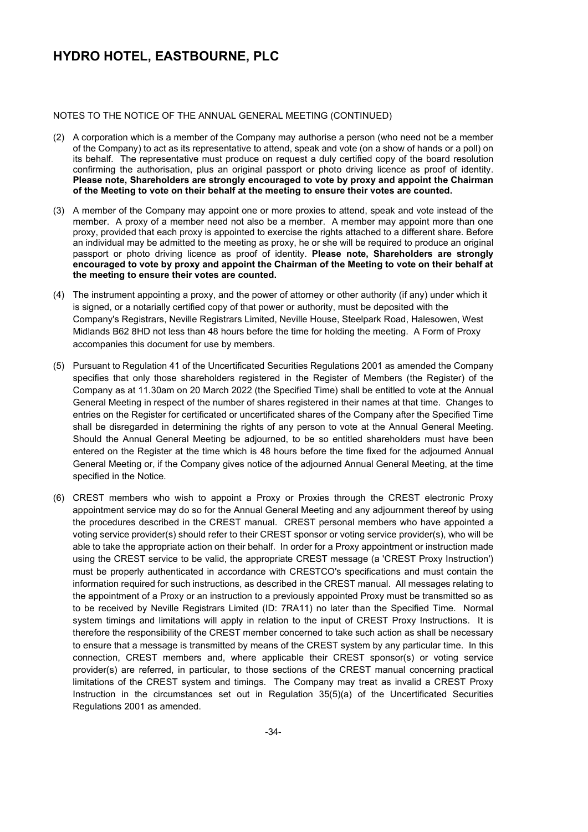#### NOTES TO THE NOTICE OF THE ANNUAL GENERAL MEETING (CONTINUED)

- (2) A corporation which is a member of the Company may authorise a person (who need not be a member of the Company) to act as its representative to attend, speak and vote (on a show of hands or a poll) on its behalf. The representative must produce on request a duly certified copy of the board resolution confirming the authorisation, plus an original passport or photo driving licence as proof of identity. **Please note, Shareholders are strongly encouraged to vote by proxy and appoint the Chairman of the Meeting to vote on their behalf at the meeting to ensure their votes are counted.**
- (3) A member of the Company may appoint one or more proxies to attend, speak and vote instead of the member. A proxy of a member need not also be a member. A member may appoint more than one proxy, provided that each proxy is appointed to exercise the rights attached to a different share. Before an individual may be admitted to the meeting as proxy, he or she will be required to produce an original passport or photo driving licence as proof of identity. **Please note, Shareholders are strongly encouraged to vote by proxy and appoint the Chairman of the Meeting to vote on their behalf at the meeting to ensure their votes are counted.**
- (4) The instrument appointing a proxy, and the power of attorney or other authority (if any) under which it is signed, or a notarially certified copy of that power or authority, must be deposited with the Company's Registrars, Neville Registrars Limited, Neville House, Steelpark Road, Halesowen, West Midlands B62 8HD not less than 48 hours before the time for holding the meeting. A Form of Proxy accompanies this document for use by members.
- (5) Pursuant to Regulation 41 of the Uncertificated Securities Regulations 2001 as amended the Company specifies that only those shareholders registered in the Register of Members (the Register) of the Company as at 11.30am on 20 March 2022 (the Specified Time) shall be entitled to vote at the Annual General Meeting in respect of the number of shares registered in their names at that time. Changes to entries on the Register for certificated or uncertificated shares of the Company after the Specified Time shall be disregarded in determining the rights of any person to vote at the Annual General Meeting. Should the Annual General Meeting be adjourned, to be so entitled shareholders must have been entered on the Register at the time which is 48 hours before the time fixed for the adjourned Annual General Meeting or, if the Company gives notice of the adjourned Annual General Meeting, at the time specified in the Notice.
- (6) CREST members who wish to appoint a Proxy or Proxies through the CREST electronic Proxy appointment service may do so for the Annual General Meeting and any adjournment thereof by using the procedures described in the CREST manual. CREST personal members who have appointed a voting service provider(s) should refer to their CREST sponsor or voting service provider(s), who will be able to take the appropriate action on their behalf. In order for a Proxy appointment or instruction made using the CREST service to be valid, the appropriate CREST message (a 'CREST Proxy Instruction') must be properly authenticated in accordance with CRESTCO's specifications and must contain the information required for such instructions, as described in the CREST manual. All messages relating to the appointment of a Proxy or an instruction to a previously appointed Proxy must be transmitted so as to be received by Neville Registrars Limited (ID: 7RA11) no later than the Specified Time. Normal system timings and limitations will apply in relation to the input of CREST Proxy Instructions. It is therefore the responsibility of the CREST member concerned to take such action as shall be necessary to ensure that a message is transmitted by means of the CREST system by any particular time. In this connection, CREST members and, where applicable their CREST sponsor(s) or voting service provider(s) are referred, in particular, to those sections of the CREST manual concerning practical limitations of the CREST system and timings. The Company may treat as invalid a CREST Proxy Instruction in the circumstances set out in Regulation 35(5)(a) of the Uncertificated Securities Regulations 2001 as amended.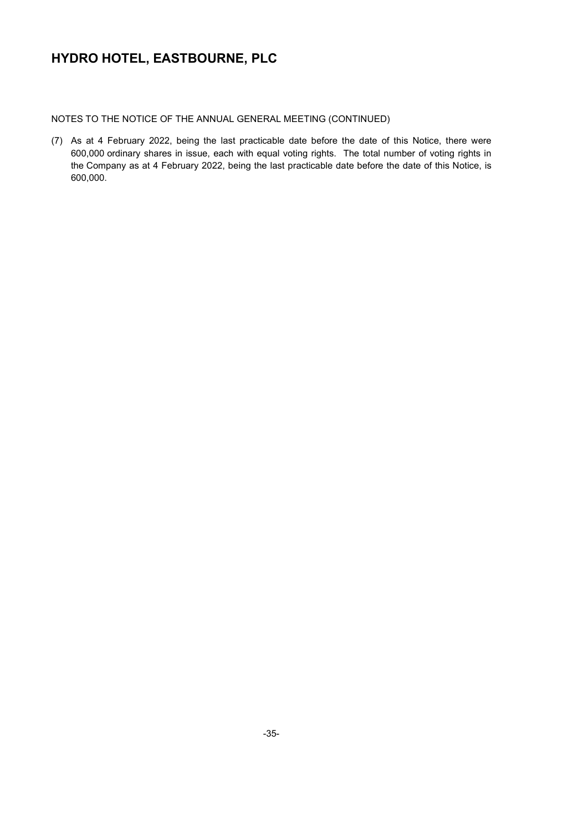NOTES TO THE NOTICE OF THE ANNUAL GENERAL MEETING (CONTINUED)

(7) As at 4 February 2022, being the last practicable date before the date of this Notice, there were 600,000 ordinary shares in issue, each with equal voting rights. The total number of voting rights in the Company as at 4 February 2022, being the last practicable date before the date of this Notice, is 600,000.